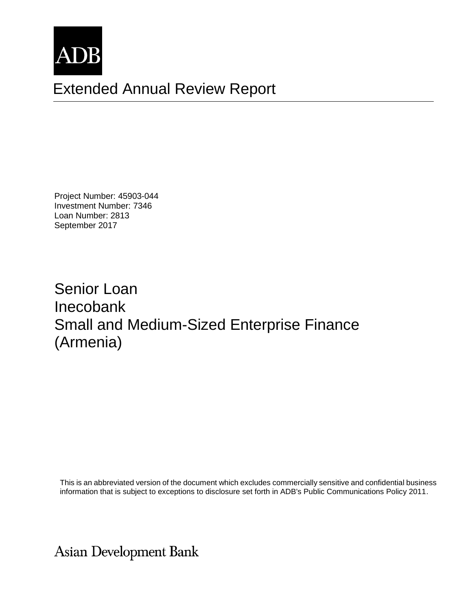

# Extended Annual Review Report

Project Number: 45903-044 Investment Number: 7346 Loan Number: 2813 September 2017

Senior Loan Inecobank Small and Medium-Sized Enterprise Finance (Armenia)

This is an abbreviated version of the document which excludes commercially sensitive and confidential business information that is subject to exceptions to disclosure set forth in ADB's Public Communications Policy 2011.

**Asian Development Bank**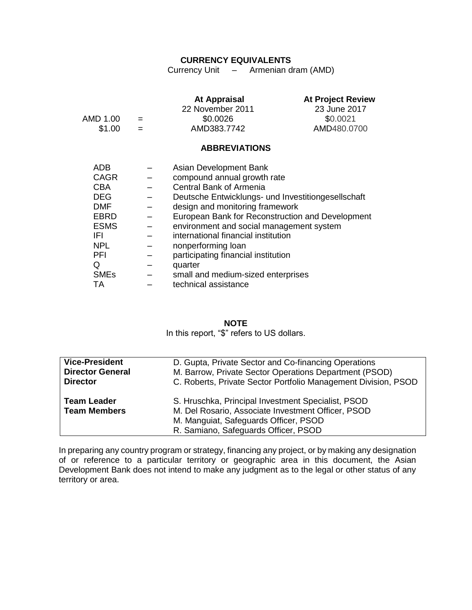#### **CURRENCY EQUIVALENTS**

Currency Unit – Armenian dram (AMD)

| AMD 1.00<br>\$1.00                                                                                                                   | $=$ | <b>At Appraisal</b><br>22 November 2011<br>\$0.0026<br>AMD383.7742                                                                                                                                                                                                                                                                                                                                                             | <b>At Project Review</b><br>23 June 2017<br>\$0.0021<br>AMD480.0700 |
|--------------------------------------------------------------------------------------------------------------------------------------|-----|--------------------------------------------------------------------------------------------------------------------------------------------------------------------------------------------------------------------------------------------------------------------------------------------------------------------------------------------------------------------------------------------------------------------------------|---------------------------------------------------------------------|
|                                                                                                                                      |     | <b>ABBREVIATIONS</b>                                                                                                                                                                                                                                                                                                                                                                                                           |                                                                     |
| ADB<br><b>CAGR</b><br><b>CBA</b><br><b>DEG</b><br><b>DMF</b><br>EBRD<br><b>ESMS</b><br>IFL<br>NPL.<br><b>PFI</b><br>Q<br><b>SMEs</b> |     | Asian Development Bank<br>compound annual growth rate<br>Central Bank of Armenia<br>Deutsche Entwicklungs- und Investitiongesellschaft<br>design and monitoring framework<br>European Bank for Reconstruction and Development<br>environment and social management system<br>international financial institution<br>nonperforming loan<br>participating financial institution<br>quarter<br>small and medium-sized enterprises |                                                                     |
| TA                                                                                                                                   |     | technical assistance                                                                                                                                                                                                                                                                                                                                                                                                           |                                                                     |

### **NOTE**

In this report, "\$" refers to US dollars.

| <b>Vice-President</b>   | D. Gupta, Private Sector and Co-financing Operations           |
|-------------------------|----------------------------------------------------------------|
| <b>Director General</b> | M. Barrow, Private Sector Operations Department (PSOD)         |
| <b>Director</b>         | C. Roberts, Private Sector Portfolio Management Division, PSOD |
| <b>Team Leader</b>      | S. Hruschka, Principal Investment Specialist, PSOD             |
| <b>Team Members</b>     | M. Del Rosario, Associate Investment Officer, PSOD             |
|                         | M. Manguiat, Safeguards Officer, PSOD                          |
|                         | R. Samiano, Safeguards Officer, PSOD                           |

In preparing any country program or strategy, financing any project, or by making any designation of or reference to a particular territory or geographic area in this document, the Asian Development Bank does not intend to make any judgment as to the legal or other status of any territory or area.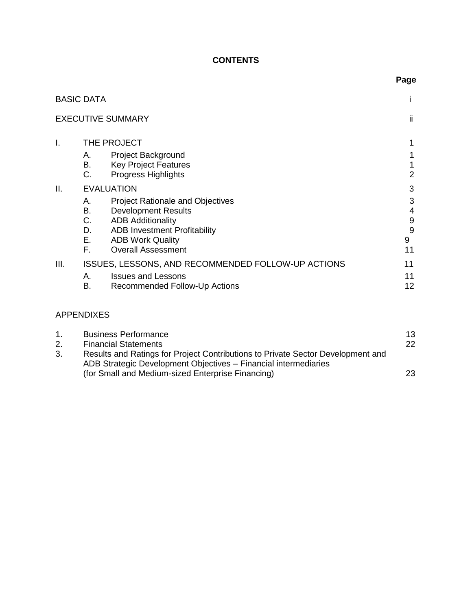# **CONTENTS**

|                   |                                                                                                                                                                                                                                                                       | -9-                              |
|-------------------|-----------------------------------------------------------------------------------------------------------------------------------------------------------------------------------------------------------------------------------------------------------------------|----------------------------------|
| <b>BASIC DATA</b> |                                                                                                                                                                                                                                                                       |                                  |
|                   | <b>EXECUTIVE SUMMARY</b>                                                                                                                                                                                                                                              | ii                               |
| I.                | THE PROJECT<br>Project Background<br>А.                                                                                                                                                                                                                               |                                  |
|                   | <b>Key Project Features</b><br>В.<br>C.<br><b>Progress Highlights</b>                                                                                                                                                                                                 | 1<br>2                           |
| Ш.                | <b>EVALUATION</b><br><b>Project Rationale and Objectives</b><br>А.<br><b>Development Results</b><br>В.<br>C.<br><b>ADB Additionality</b><br>D.<br><b>ADB Investment Profitability</b><br>$E_{\rm{max}}$<br><b>ADB Work Quality</b><br>F.<br><b>Overall Assessment</b> | 3<br>3<br>4<br>9<br>9<br>9<br>11 |
| III.              | ISSUES, LESSONS, AND RECOMMENDED FOLLOW-UP ACTIONS<br><b>Issues and Lessons</b><br>А.<br>B.<br>Recommended Follow-Up Actions                                                                                                                                          | 11<br>11<br>12                   |

# APPENDIXES

|    | <b>Business Performance</b>                                                     | 13 |
|----|---------------------------------------------------------------------------------|----|
| 2. | <b>Financial Statements</b>                                                     | 22 |
| 3. | Results and Ratings for Project Contributions to Private Sector Development and |    |
|    | ADB Strategic Development Objectives - Financial intermediaries                 |    |
|    | (for Small and Medium-sized Enterprise Financing)                               | 23 |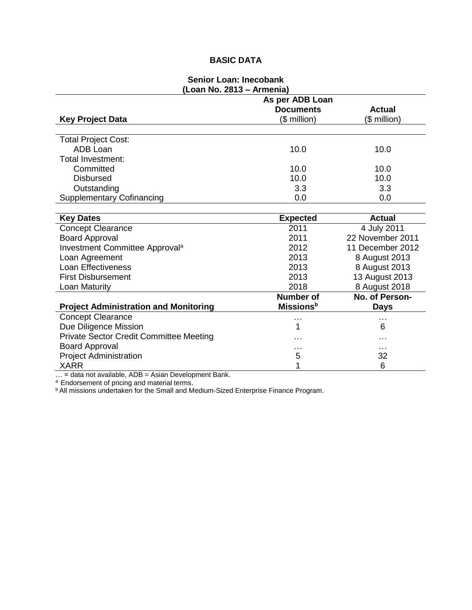# **BASIC DATA**

#### **Senior Loan: Inecobank (Loan No. 2813 – Armenia)**

| LVUII IIV. LV IV                               | AUTO-TIC<br>As per ADB Loan  |                  |
|------------------------------------------------|------------------------------|------------------|
|                                                | <b>Documents</b>             | <b>Actual</b>    |
| <b>Key Project Data</b>                        | $($$ million $)$             | (\$ million)     |
|                                                |                              |                  |
| <b>Total Project Cost:</b>                     |                              |                  |
| ADB Loan                                       | 10.0                         | 10.0             |
| Total Investment:                              |                              |                  |
| Committed                                      | 10.0                         | 10.0             |
| <b>Disbursed</b>                               | 10.0                         | 10.0             |
| Outstanding                                    | 3.3                          | 3.3              |
| <b>Supplementary Cofinancing</b>               | 0.0                          | 0.0              |
|                                                |                              |                  |
| <b>Key Dates</b>                               | <b>Expected</b>              | <b>Actual</b>    |
| <b>Concept Clearance</b>                       | 2011                         | 4 July 2011      |
| <b>Board Approval</b>                          | 2011                         | 22 November 2011 |
| Investment Committee Approval <sup>a</sup>     | 2012                         | 11 December 2012 |
| Loan Agreement                                 | 2013                         | 8 August 2013    |
| <b>Loan Effectiveness</b>                      | 2013                         | 8 August 2013    |
| <b>First Disbursement</b>                      | 2013                         | 13 August 2013   |
| Loan Maturity                                  | 2018                         | 8 August 2018    |
|                                                | <b>Number of</b>             | No. of Person-   |
| <b>Project Administration and Monitoring</b>   | <b>Missions</b> <sup>b</sup> | <b>Days</b>      |
| <b>Concept Clearance</b>                       | $\cdots$                     |                  |
| Due Diligence Mission                          | 1                            | 6                |
| <b>Private Sector Credit Committee Meeting</b> |                              | .                |
| <b>Board Approval</b>                          |                              | .                |
| <b>Project Administration</b>                  | 5                            | 32               |
| <b>XARR</b>                                    | 1                            | 6                |

… = data not available, ADB = Asian Development Bank.

<sup>a</sup> Endorsement of pricing and material terms.

**b All missions undertaken for the Small and Medium-Sized Enterprise Finance Program.**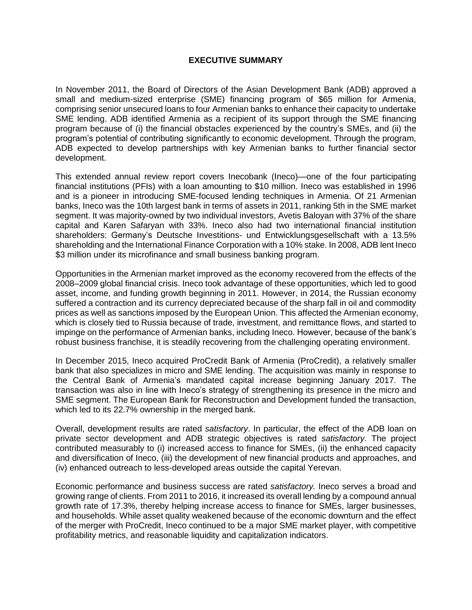#### **EXECUTIVE SUMMARY**

In November 2011, the Board of Directors of the Asian Development Bank (ADB) approved a small and medium-sized enterprise (SME) financing program of \$65 million for Armenia, comprising senior unsecured loans to four Armenian banks to enhance their capacity to undertake SME lending. ADB identified Armenia as a recipient of its support through the SME financing program because of (i) the financial obstacles experienced by the country's SMEs, and (ii) the program's potential of contributing significantly to economic development. Through the program, ADB expected to develop partnerships with key Armenian banks to further financial sector development.

This extended annual review report covers Inecobank (Ineco)—one of the four participating financial institutions (PFIs) with a loan amounting to \$10 million. Ineco was established in 1996 and is a pioneer in introducing SME-focused lending techniques in Armenia. Of 21 Armenian banks, Ineco was the 10th largest bank in terms of assets in 2011, ranking 5th in the SME market segment. It was majority-owned by two individual investors, Avetis Baloyan with 37% of the share capital and Karen Safaryan with 33%. Ineco also had two international financial institution shareholders: Germany's Deutsche Investitions- und Entwicklungsgesellschaft with a 13.5% shareholding and the International Finance Corporation with a 10% stake. In 2008, ADB lent Ineco \$3 million under its microfinance and small business banking program.

Opportunities in the Armenian market improved as the economy recovered from the effects of the 2008–2009 global financial crisis. Ineco took advantage of these opportunities, which led to good asset, income, and funding growth beginning in 2011. However, in 2014, the Russian economy suffered a contraction and its currency depreciated because of the sharp fall in oil and commodity prices as well as sanctions imposed by the European Union. This affected the Armenian economy, which is closely tied to Russia because of trade, investment, and remittance flows, and started to impinge on the performance of Armenian banks, including Ineco. However, because of the bank's robust business franchise, it is steadily recovering from the challenging operating environment.

In December 2015, Ineco acquired ProCredit Bank of Armenia (ProCredit), a relatively smaller bank that also specializes in micro and SME lending. The acquisition was mainly in response to the Central Bank of Armenia's mandated capital increase beginning January 2017. The transaction was also in line with Ineco's strategy of strengthening its presence in the micro and SME segment. The European Bank for Reconstruction and Development funded the transaction, which led to its 22.7% ownership in the merged bank.

Overall, development results are rated *satisfactory*. In particular, the effect of the ADB loan on private sector development and ADB strategic objectives is rated *satisfactory*. The project contributed measurably to (i) increased access to finance for SMEs, (ii) the enhanced capacity and diversification of Ineco, (iii) the development of new financial products and approaches, and (iv) enhanced outreach to less-developed areas outside the capital Yerevan.

Economic performance and business success are rated *satisfactory.* Ineco serves a broad and growing range of clients. From 2011 to 2016, it increased its overall lending by a compound annual growth rate of 17.3%, thereby helping increase access to finance for SMEs, larger businesses, and households. While asset quality weakened because of the economic downturn and the effect of the merger with ProCredit, Ineco continued to be a major SME market player, with competitive profitability metrics, and reasonable liquidity and capitalization indicators.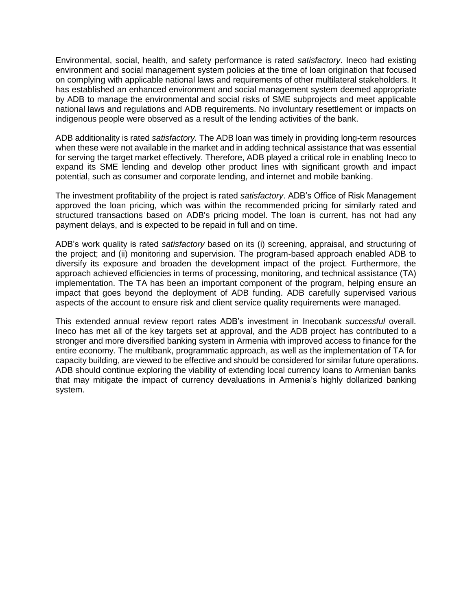Environmental, social, health, and safety performance is rated *satisfactory*. Ineco had existing environment and social management system policies at the time of loan origination that focused on complying with applicable national laws and requirements of other multilateral stakeholders. It has established an enhanced environment and social management system deemed appropriate by ADB to manage the environmental and social risks of SME subprojects and meet applicable national laws and regulations and ADB requirements. No involuntary resettlement or impacts on indigenous people were observed as a result of the lending activities of the bank.

ADB additionality is rated *satisfactory.* The ADB loan was timely in providing long-term resources when these were not available in the market and in adding technical assistance that was essential for serving the target market effectively. Therefore, ADB played a critical role in enabling Ineco to expand its SME lending and develop other product lines with significant growth and impact potential, such as consumer and corporate lending, and internet and mobile banking.

The investment profitability of the project is rated *satisfactory*. ADB's Office of Risk Management approved the loan pricing, which was within the recommended pricing for similarly rated and structured transactions based on ADB's pricing model. The loan is current, has not had any payment delays, and is expected to be repaid in full and on time.

ADB's work quality is rated *satisfactory* based on its (i) screening, appraisal, and structuring of the project; and (ii) monitoring and supervision. The program-based approach enabled ADB to diversify its exposure and broaden the development impact of the project. Furthermore, the approach achieved efficiencies in terms of processing, monitoring, and technical assistance (TA) implementation. The TA has been an important component of the program, helping ensure an impact that goes beyond the deployment of ADB funding. ADB carefully supervised various aspects of the account to ensure risk and client service quality requirements were managed.

This extended annual review report rates ADB's investment in Inecobank *successful* overall. Ineco has met all of the key targets set at approval, and the ADB project has contributed to a stronger and more diversified banking system in Armenia with improved access to finance for the entire economy. The multibank, programmatic approach, as well as the implementation of TA for capacity building, are viewed to be effective and should be considered for similar future operations. ADB should continue exploring the viability of extending local currency loans to Armenian banks that may mitigate the impact of currency devaluations in Armenia's highly dollarized banking system.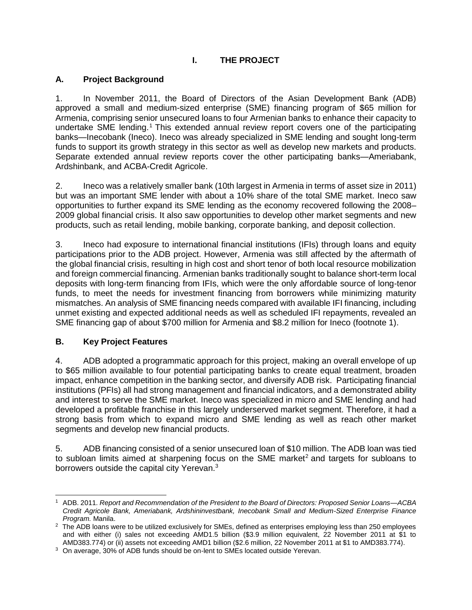# **I. THE PROJECT**

## <span id="page-8-1"></span><span id="page-8-0"></span>**A. Project Background**

1. In November 2011, the Board of Directors of the Asian Development Bank (ADB) approved a small and medium-sized enterprise (SME) financing program of \$65 million for Armenia, comprising senior unsecured loans to four Armenian banks to enhance their capacity to undertake SME lending.<sup>1</sup> This extended annual review report covers one of the participating banks—Inecobank (Ineco). Ineco was already specialized in SME lending and sought long-term funds to support its growth strategy in this sector as well as develop new markets and products. Separate extended annual review reports cover the other participating banks—Ameriabank, Ardshinbank, and ACBA-Credit Agricole.

2. Ineco was a relatively smaller bank (10th largest in Armenia in terms of asset size in 2011) but was an important SME lender with about a 10% share of the total SME market. Ineco saw opportunities to further expand its SME lending as the economy recovered following the 2008– 2009 global financial crisis. It also saw opportunities to develop other market segments and new products, such as retail lending, mobile banking, corporate banking, and deposit collection.

3. Ineco had exposure to international financial institutions (IFIs) through loans and equity participations prior to the ADB project. However, Armenia was still affected by the aftermath of the global financial crisis, resulting in high cost and short tenor of both local resource mobilization and foreign commercial financing. Armenian banks traditionally sought to balance short-term local deposits with long-term financing from IFIs, which were the only affordable source of long-tenor funds, to meet the needs for investment financing from borrowers while minimizing maturity mismatches. An analysis of SME financing needs compared with available IFI financing, including unmet existing and expected additional needs as well as scheduled IFI repayments, revealed an SME financing gap of about \$700 million for Armenia and \$8.2 million for Ineco (footnote 1).

### <span id="page-8-2"></span>**B. Key Project Features**

 $\overline{a}$ 

4. ADB adopted a programmatic approach for this project, making an overall envelope of up to \$65 million available to four potential participating banks to create equal treatment, broaden impact, enhance competition in the banking sector, and diversify ADB risk. Participating financial institutions (PFIs) all had strong management and financial indicators, and a demonstrated ability and interest to serve the SME market. Ineco was specialized in micro and SME lending and had developed a profitable franchise in this largely underserved market segment. Therefore, it had a strong basis from which to expand micro and SME lending as well as reach other market segments and develop new financial products.

5. ADB financing consisted of a senior unsecured loan of \$10 million. The ADB loan was tied to subloan limits aimed at sharpening focus on the SME market<sup>2</sup> and targets for subloans to borrowers outside the capital city Yerevan.<sup>3</sup>

<sup>1</sup> ADB. 2011. *Report and Recommendation of the President to the Board of Directors: Proposed Senior Loans—ACBA Credit Agricole Bank, Ameriabank, Ardshininvestbank, Inecobank Small and Medium-Sized Enterprise Finance Program.* Manila.

<sup>&</sup>lt;sup>2</sup> The ADB loans were to be utilized exclusively for SMEs, defined as enterprises employing less than 250 employees and with either (i) sales not exceeding AMD1.5 billion (\$3.9 million equivalent, 22 November 2011 at \$1 to AMD383.774) or (ii) assets not exceeding AMD1 billion (\$2.6 million, 22 November 2011 at \$1 to AMD383.774).

<sup>3</sup> On average, 30% of ADB funds should be on-lent to SMEs located outside Yerevan.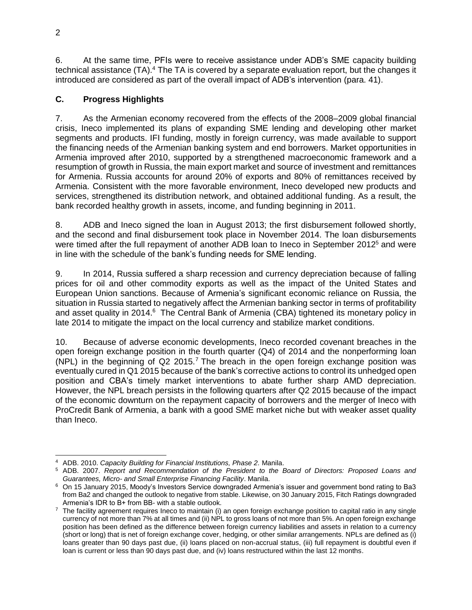6. At the same time, PFIs were to receive assistance under ADB's SME capacity building technical assistance (TA).<sup>4</sup> The TA is covered by a separate evaluation report, but the changes it introduced are considered as part of the overall impact of ADB's intervention (para. 41).

# <span id="page-9-0"></span>**C. Progress Highlights**

7. As the Armenian economy recovered from the effects of the 2008–2009 global financial crisis, Ineco implemented its plans of expanding SME lending and developing other market segments and products. IFI funding, mostly in foreign currency, was made available to support the financing needs of the Armenian banking system and end borrowers. Market opportunities in Armenia improved after 2010, supported by a strengthened macroeconomic framework and a resumption of growth in Russia, the main export market and source of investment and remittances for Armenia. Russia accounts for around 20% of exports and 80% of remittances received by Armenia. Consistent with the more favorable environment, Ineco developed new products and services, strengthened its distribution network, and obtained additional funding. As a result, the bank recorded healthy growth in assets, income, and funding beginning in 2011.

8. ADB and Ineco signed the loan in August 2013; the first disbursement followed shortly, and the second and final disbursement took place in November 2014. The loan disbursements were timed after the full repayment of another ADB loan to Ineco in September 2012<sup>5</sup> and were in line with the schedule of the bank's funding needs for SME lending.

9. In 2014, Russia suffered a sharp recession and currency depreciation because of falling prices for oil and other commodity exports as well as the impact of the United States and European Union sanctions. Because of Armenia's significant economic reliance on Russia, the situation in Russia started to negatively affect the Armenian banking sector in terms of profitability and asset quality in 2014.<sup>6</sup> The Central Bank of Armenia (CBA) tightened its monetary policy in late 2014 to mitigate the impact on the local currency and stabilize market conditions.

10. Because of adverse economic developments, Ineco recorded covenant breaches in the open foreign exchange position in the fourth quarter (Q4) of 2014 and the nonperforming loan (NPL) in the beginning of  $Q2$  2015.<sup>7</sup> The breach in the open foreign exchange position was eventually cured in Q1 2015 because of the bank's corrective actions to control its unhedged open position and CBA's timely market interventions to abate further sharp AMD depreciation. However, the NPL breach persists in the following quarters after Q2 2015 because of the impact of the economic downturn on the repayment capacity of borrowers and the merger of Ineco with ProCredit Bank of Armenia, a bank with a good SME market niche but with weaker asset quality than Ineco.

 $\overline{a}$ 

<sup>4</sup> ADB. 2010. *Capacity Building for Financial Institutions, Phase 2.* Manila.

<sup>5</sup> ADB. 2007. *Report and Recommendation of the President to the Board of Directors: Proposed Loans and Guarantees, Micro- and Small Enterprise Financing Facility*. Manila.

<sup>&</sup>lt;sup>6</sup> On 15 January 2015, Moody's Investors Service downgraded Armenia's issuer and government bond rating to Ba3 from Ba2 and changed the outlook to negative from stable. Likewise, on 30 January 2015, Fitch Ratings downgraded Armenia's IDR to B+ from BB- with a stable outlook.

 $7$  The facility agreement requires Ineco to maintain (i) an open foreign exchange position to capital ratio in any single currency of not more than 7% at all times and (ii) NPL to gross loans of not more than 5%. An open foreign exchange position has been defined as the difference between foreign currency liabilities and assets in relation to a currency (short or long) that is net of foreign exchange cover, hedging, or other similar arrangements. NPLs are defined as (i) loans greater than 90 days past due, (ii) loans placed on non-accrual status, (iii) full repayment is doubtful even if loan is current or less than 90 days past due, and (iv) loans restructured within the last 12 months.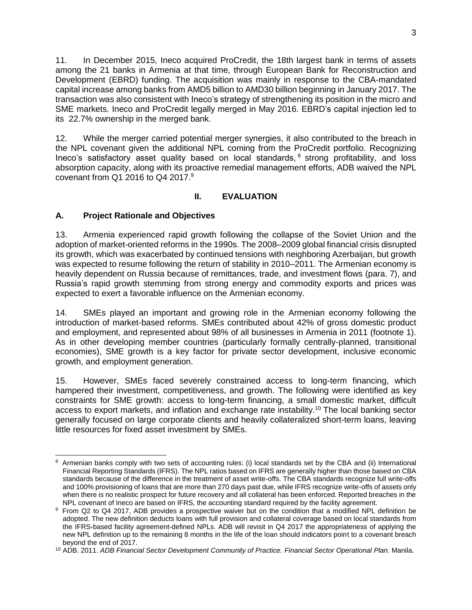11. In December 2015, Ineco acquired ProCredit, the 18th largest bank in terms of assets among the 21 banks in Armenia at that time, through European Bank for Reconstruction and Development (EBRD) funding. The acquisition was mainly in response to the CBA-mandated capital increase among banks from AMD5 billion to AMD30 billion beginning in January 2017. The transaction was also consistent with Ineco's strategy of strengthening its position in the micro and SME markets. Ineco and ProCredit legally merged in May 2016. EBRD's capital injection led to its 22.7% ownership in the merged bank.

12. While the merger carried potential merger synergies, it also contributed to the breach in the NPL covenant given the additional NPL coming from the ProCredit portfolio. Recognizing Ineco's satisfactory asset quality based on local standards, <sup>8</sup> strong profitability, and loss absorption capacity, along with its proactive remedial management efforts, ADB waived the NPL covenant from Q1 2016 to Q4 2017. $9$ 

# **II. EVALUATION**

# <span id="page-10-1"></span><span id="page-10-0"></span>**A. Project Rationale and Objectives**

13. Armenia experienced rapid growth following the collapse of the Soviet Union and the adoption of market-oriented reforms in the 1990s. The 2008–2009 global financial crisis disrupted its growth, which was exacerbated by continued tensions with neighboring Azerbaijan, but growth was expected to resume following the return of stability in 2010–2011. The Armenian economy is heavily dependent on Russia because of remittances, trade, and investment flows (para. 7), and Russia's rapid growth stemming from strong energy and commodity exports and prices was expected to exert a favorable influence on the Armenian economy.

14. SMEs played an important and growing role in the Armenian economy following the introduction of market-based reforms. SMEs contributed about 42% of gross domestic product and employment, and represented about 98% of all businesses in Armenia in 2011 (footnote 1). As in other developing member countries (particularly formally centrally-planned, transitional economies), SME growth is a key factor for private sector development, inclusive economic growth, and employment generation.

15. However, SMEs faced severely constrained access to long-term financing, which hampered their investment, competitiveness, and growth. The following were identified as key constraints for SME growth: access to long-term financing, a small domestic market, difficult access to export markets, and inflation and exchange rate instability.<sup>10</sup> The local banking sector generally focused on large corporate clients and heavily collateralized short-term loans, leaving little resources for fixed asset investment by SMEs.

 $\overline{a}$ 8 Armenian banks comply with two sets of accounting rules: (i) local standards set by the CBA and (ii) International Financial Reporting Standards (IFRS). The NPL ratios based on IFRS are generally higher than those based on CBA standards because of the difference in the treatment of asset write-offs. The CBA standards recognize full write-offs and 100% provisioning of loans that are more than 270 days past due, while IFRS recognize write-offs of assets only when there is no realistic prospect for future recovery and all collateral has been enforced. Reported breaches in the NPL covenant of Ineco are based on IFRS, the accounting standard required by the facility agreement.

<sup>&</sup>lt;sup>9</sup> From Q2 to Q4 2017, ADB provides a prospective waiver but on the condition that a modified NPL definition be adopted. The new definition deducts loans with full provision and collateral coverage based on local standards from the IFRS-based facility agreement-defined NPLs. ADB will revisit in Q4 2017 the appropriateness of applying the new NPL definition up to the remaining 8 months in the life of the loan should indicators point to a covenant breach beyond the end of 2017.

<sup>10</sup> ADB. 2011. *ADB Financial Sector Development Community of Practice. Financial Sector Operational Plan.* Manila.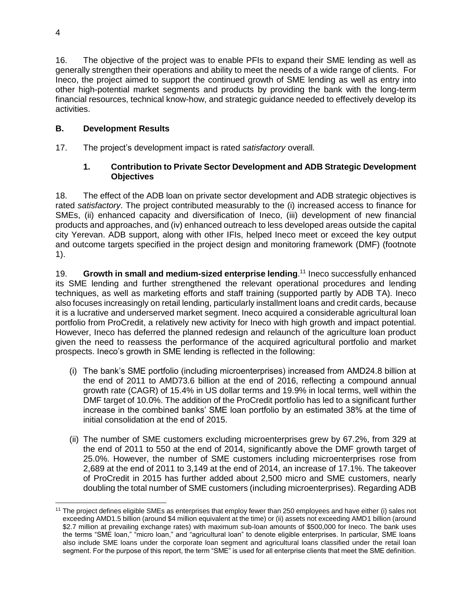16. The objective of the project was to enable PFIs to expand their SME lending as well as generally strengthen their operations and ability to meet the needs of a wide range of clients. For Ineco, the project aimed to support the continued growth of SME lending as well as entry into other high-potential market segments and products by providing the bank with the long-term financial resources, technical know-how, and strategic guidance needed to effectively develop its activities.

# <span id="page-11-0"></span>**B. Development Results**

17. The project's development impact is rated *satisfactory* overall*.* 

# **1. Contribution to Private Sector Development and ADB Strategic Development Objectives**

18. The effect of the ADB loan on private sector development and ADB strategic objectives is rated *satisfactory*. The project contributed measurably to the (i) increased access to finance for SMEs, (ii) enhanced capacity and diversification of Ineco, (iii) development of new financial products and approaches, and (iv) enhanced outreach to less developed areas outside the capital city Yerevan. ADB support, along with other IFIs, helped Ineco meet or exceed the key output and outcome targets specified in the project design and monitoring framework (DMF) (footnote 1).

19. **Growth in small and medium-sized enterprise lending**. <sup>11</sup> Ineco successfully enhanced its SME lending and further strengthened the relevant operational procedures and lending techniques, as well as marketing efforts and staff training (supported partly by ADB TA). Ineco also focuses increasingly on retail lending, particularly installment loans and credit cards, because it is a lucrative and underserved market segment. Ineco acquired a considerable agricultural loan portfolio from ProCredit, a relatively new activity for Ineco with high growth and impact potential. However, Ineco has deferred the planned redesign and relaunch of the agriculture loan product given the need to reassess the performance of the acquired agricultural portfolio and market prospects. Ineco's growth in SME lending is reflected in the following:

- (i) The bank's SME portfolio (including microenterprises) increased from AMD24.8 billion at the end of 2011 to AMD73.6 billion at the end of 2016, reflecting a compound annual growth rate (CAGR) of 15.4% in US dollar terms and 19.9% in local terms, well within the DMF target of 10.0%. The addition of the ProCredit portfolio has led to a significant further increase in the combined banks' SME loan portfolio by an estimated 38% at the time of initial consolidation at the end of 2015.
- (ii) The number of SME customers excluding microenterprises grew by 67.2%, from 329 at the end of 2011 to 550 at the end of 2014, significantly above the DMF growth target of 25.0%. However, the number of SME customers including microenterprises rose from 2,689 at the end of 2011 to 3,149 at the end of 2014, an increase of 17.1%. The takeover of ProCredit in 2015 has further added about 2,500 micro and SME customers, nearly doubling the total number of SME customers (including microenterprises). Regarding ADB

 <sup>11</sup> The project defines eligible SMEs as enterprises that employ fewer than 250 employees and have either (i) sales not exceeding AMD1.5 billion (around \$4 million equivalent at the time) or (ii) assets not exceeding AMD1 billion (around \$2.7 million at prevailing exchange rates) with maximum sub-loan amounts of \$500,000 for Ineco. The bank uses the terms "SME loan," "micro loan," and "agricultural loan" to denote eligible enterprises. In particular, SME loans also include SME loans under the corporate loan segment and agricultural loans classified under the retail loan segment. For the purpose of this report, the term "SME" is used for all enterprise clients that meet the SME definition.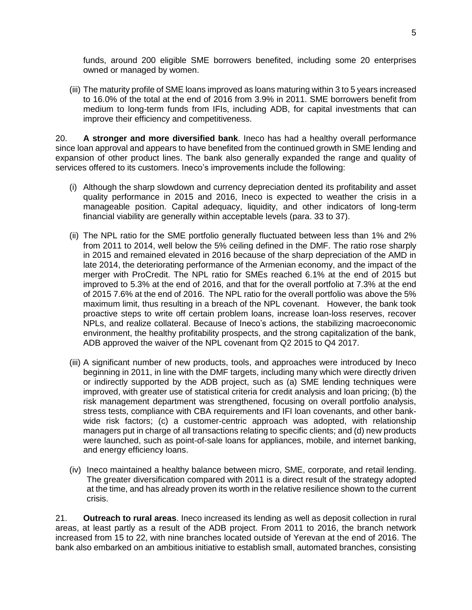funds, around 200 eligible SME borrowers benefited, including some 20 enterprises owned or managed by women.

(iii) The maturity profile of SME loans improved as loans maturing within 3 to 5 years increased to 16.0% of the total at the end of 2016 from 3.9% in 2011. SME borrowers benefit from medium to long-term funds from IFIs, including ADB, for capital investments that can improve their efficiency and competitiveness.

20. **A stronger and more diversified bank**. Ineco has had a healthy overall performance since loan approval and appears to have benefited from the continued growth in SME lending and expansion of other product lines. The bank also generally expanded the range and quality of services offered to its customers. Ineco's improvements include the following:

- (i) Although the sharp slowdown and currency depreciation dented its profitability and asset quality performance in 2015 and 2016, Ineco is expected to weather the crisis in a manageable position. Capital adequacy, liquidity, and other indicators of long-term financial viability are generally within acceptable levels (para. 33 to 37).
- (ii) The NPL ratio for the SME portfolio generally fluctuated between less than 1% and 2% from 2011 to 2014, well below the 5% ceiling defined in the DMF. The ratio rose sharply in 2015 and remained elevated in 2016 because of the sharp depreciation of the AMD in late 2014, the deteriorating performance of the Armenian economy, and the impact of the merger with ProCredit. The NPL ratio for SMEs reached 6.1% at the end of 2015 but improved to 5.3% at the end of 2016, and that for the overall portfolio at 7.3% at the end of 2015 7.6% at the end of 2016. The NPL ratio for the overall portfolio was above the 5% maximum limit, thus resulting in a breach of the NPL covenant. However, the bank took proactive steps to write off certain problem loans, increase loan-loss reserves, recover NPLs, and realize collateral. Because of Ineco's actions, the stabilizing macroeconomic environment, the healthy profitability prospects, and the strong capitalization of the bank, ADB approved the waiver of the NPL covenant from Q2 2015 to Q4 2017.
- (iii) A significant number of new products, tools, and approaches were introduced by Ineco beginning in 2011, in line with the DMF targets, including many which were directly driven or indirectly supported by the ADB project, such as (a) SME lending techniques were improved, with greater use of statistical criteria for credit analysis and loan pricing; (b) the risk management department was strengthened, focusing on overall portfolio analysis, stress tests, compliance with CBA requirements and IFI loan covenants, and other bankwide risk factors; (c) a customer-centric approach was adopted, with relationship managers put in charge of all transactions relating to specific clients; and (d) new products were launched, such as point-of-sale loans for appliances, mobile, and internet banking, and energy efficiency loans.
- (iv) Ineco maintained a healthy balance between micro, SME, corporate, and retail lending. The greater diversification compared with 2011 is a direct result of the strategy adopted at the time, and has already proven its worth in the relative resilience shown to the current crisis.

21. **Outreach to rural areas**. Ineco increased its lending as well as deposit collection in rural areas, at least partly as a result of the ADB project. From 2011 to 2016, the branch network increased from 15 to 22, with nine branches located outside of Yerevan at the end of 2016. The bank also embarked on an ambitious initiative to establish small, automated branches, consisting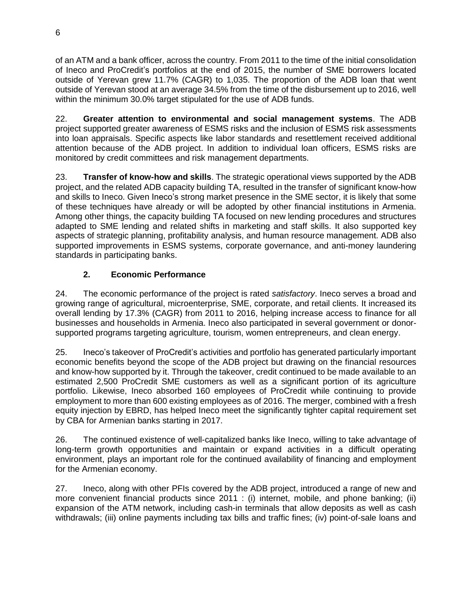of an ATM and a bank officer, across the country. From 2011 to the time of the initial consolidation of Ineco and ProCredit's portfolios at the end of 2015, the number of SME borrowers located outside of Yerevan grew 11.7% (CAGR) to 1,035. The proportion of the ADB loan that went outside of Yerevan stood at an average 34.5% from the time of the disbursement up to 2016, well within the minimum 30.0% target stipulated for the use of ADB funds.

22. **Greater attention to environmental and social management systems**. The ADB project supported greater awareness of ESMS risks and the inclusion of ESMS risk assessments into loan appraisals. Specific aspects like labor standards and resettlement received additional attention because of the ADB project. In addition to individual loan officers, ESMS risks are monitored by credit committees and risk management departments.

23. **Transfer of know-how and skills**. The strategic operational views supported by the ADB project, and the related ADB capacity building TA, resulted in the transfer of significant know-how and skills to Ineco. Given Ineco's strong market presence in the SME sector, it is likely that some of these techniques have already or will be adopted by other financial institutions in Armenia. Among other things, the capacity building TA focused on new lending procedures and structures adapted to SME lending and related shifts in marketing and staff skills. It also supported key aspects of strategic planning, profitability analysis, and human resource management. ADB also supported improvements in ESMS systems, corporate governance, and anti-money laundering standards in participating banks.

# **2. Economic Performance**

24. The economic performance of the project is rated *satisfactory*. Ineco serves a broad and growing range of agricultural, microenterprise, SME, corporate, and retail clients. It increased its overall lending by 17.3% (CAGR) from 2011 to 2016, helping increase access to finance for all businesses and households in Armenia. Ineco also participated in several government or donorsupported programs targeting agriculture, tourism, women entrepreneurs, and clean energy.

25. Ineco's takeover of ProCredit's activities and portfolio has generated particularly important economic benefits beyond the scope of the ADB project but drawing on the financial resources and know-how supported by it. Through the takeover, credit continued to be made available to an estimated 2,500 ProCredit SME customers as well as a significant portion of its agriculture portfolio. Likewise, Ineco absorbed 160 employees of ProCredit while continuing to provide employment to more than 600 existing employees as of 2016. The merger, combined with a fresh equity injection by EBRD, has helped Ineco meet the significantly tighter capital requirement set by CBA for Armenian banks starting in 2017.

26. The continued existence of well-capitalized banks like Ineco, willing to take advantage of long-term growth opportunities and maintain or expand activities in a difficult operating environment, plays an important role for the continued availability of financing and employment for the Armenian economy.

27. Ineco, along with other PFIs covered by the ADB project, introduced a range of new and more convenient financial products since 2011 : (i) internet, mobile, and phone banking; (ii) expansion of the ATM network, including cash-in terminals that allow deposits as well as cash withdrawals; (iii) online payments including tax bills and traffic fines; (iv) point-of-sale loans and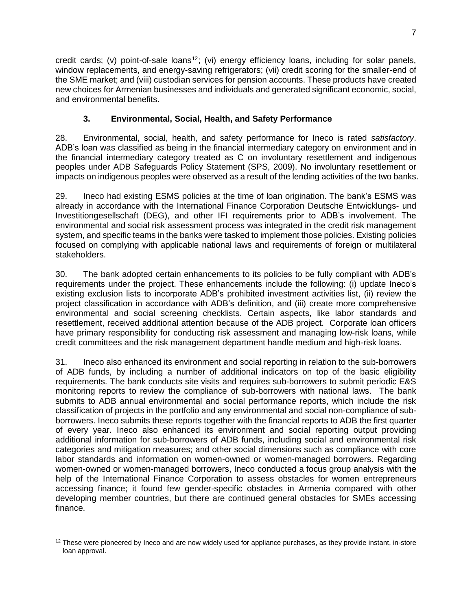credit cards; (v) point-of-sale loans<sup>12</sup>; (vi) energy efficiency loans, including for solar panels, window replacements, and energy-saving refrigerators; (vii) credit scoring for the smaller-end of the SME market; and (viii) custodian services for pension accounts. These products have created new choices for Armenian businesses and individuals and generated significant economic, social, and environmental benefits.

# **3. Environmental, Social, Health, and Safety Performance**

28. Environmental, social, health, and safety performance for Ineco is rated *satisfactory*. ADB's loan was classified as being in the financial intermediary category on environment and in the financial intermediary category treated as C on involuntary resettlement and indigenous peoples under ADB Safeguards Policy Statement (SPS, 2009). No involuntary resettlement or impacts on indigenous peoples were observed as a result of the lending activities of the two banks.

29. Ineco had existing ESMS policies at the time of loan origination. The bank's ESMS was already in accordance with the International Finance Corporation Deutsche Entwicklungs- und Investitiongesellschaft (DEG), and other IFI requirements prior to ADB's involvement. The environmental and social risk assessment process was integrated in the credit risk management system, and specific teams in the banks were tasked to implement those policies. Existing policies focused on complying with applicable national laws and requirements of foreign or multilateral stakeholders.

30. The bank adopted certain enhancements to its policies to be fully compliant with ADB's requirements under the project. These enhancements include the following: (i) update Ineco's existing exclusion lists to incorporate ADB's prohibited investment activities list, (ii) review the project classification in accordance with ADB's definition, and (iii) create more comprehensive environmental and social screening checklists. Certain aspects, like labor standards and resettlement, received additional attention because of the ADB project. Corporate loan officers have primary responsibility for conducting risk assessment and managing low-risk loans, while credit committees and the risk management department handle medium and high-risk loans.

31. Ineco also enhanced its environment and social reporting in relation to the sub-borrowers of ADB funds, by including a number of additional indicators on top of the basic eligibility requirements. The bank conducts site visits and requires sub-borrowers to submit periodic E&S monitoring reports to review the compliance of sub-borrowers with national laws. The bank submits to ADB annual environmental and social performance reports, which include the risk classification of projects in the portfolio and any environmental and social non-compliance of subborrowers. Ineco submits these reports together with the financial reports to ADB the first quarter of every year. Ineco also enhanced its environment and social reporting output providing additional information for sub-borrowers of ADB funds, including social and environmental risk categories and mitigation measures; and other social dimensions such as compliance with core labor standards and information on women-owned or women-managed borrowers. Regarding women-owned or women-managed borrowers, Ineco conducted a focus group analysis with the help of the International Finance Corporation to assess obstacles for women entrepreneurs accessing finance; it found few gender-specific obstacles in Armenia compared with other developing member countries, but there are continued general obstacles for SMEs accessing finance.

 $\overline{a}$ 

 $12$  These were pioneered by Ineco and are now widely used for appliance purchases, as they provide instant, in-store loan approval.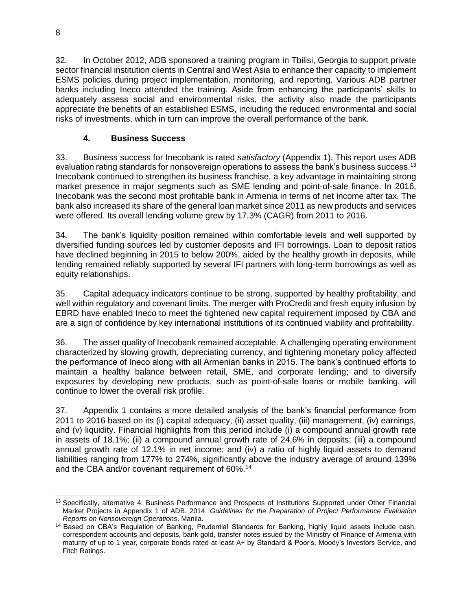32. In October 2012, ADB sponsored a training program in Tbilisi, Georgia to support private sector financial institution clients in Central and West Asia to enhance their capacity to implement ESMS policies during project implementation, monitoring, and reporting. Various ADB partner banks including Ineco attended the training. Aside from enhancing the participants' skills to adequately assess social and environmental risks, the activity also made the participants appreciate the benefits of an established ESMS, including the reduced environmental and social risks of investments, which in turn can improve the overall performance of the bank.

# **4. Business Success**

33. Business success for Inecobank is rated *satisfactory* (Appendix 1). This report uses ADB evaluation rating standards for nonsovereign operations to assess the bank's business success.<sup>13</sup> Inecobank continued to strengthen its business franchise, a key advantage in maintaining strong market presence in major segments such as SME lending and point-of-sale finance. In 2016, Inecobank was the second most profitable bank in Armenia in terms of net income after tax. The bank also increased its share of the general loan market since 2011 as new products and services were offered. Its overall lending volume grew by 17.3% (CAGR) from 2011 to 2016.

34. The bank's liquidity position remained within comfortable levels and well supported by diversified funding sources led by customer deposits and IFI borrowings. Loan to deposit ratios have declined beginning in 2015 to below 200%, aided by the healthy growth in deposits, while lending remained reliably supported by several IFI partners with long-term borrowings as well as equity relationships.

35. Capital adequacy indicators continue to be strong, supported by healthy profitability, and well within regulatory and covenant limits. The merger with ProCredit and fresh equity infusion by EBRD have enabled Ineco to meet the tightened new capital requirement imposed by CBA and are a sign of confidence by key international institutions of its continued viability and profitability.

36. The asset quality of Inecobank remained acceptable. A challenging operating environment characterized by slowing growth, depreciating currency, and tightening monetary policy affected the performance of Ineco along with all Armenian banks in 2015. The bank's continued efforts to maintain a healthy balance between retail, SME, and corporate lending; and to diversify exposures by developing new products, such as point-of-sale loans or mobile banking, will continue to lower the overall risk profile.

37. Appendix 1 contains a more detailed analysis of the bank's financial performance from 2011 to 2016 based on its (i) capital adequacy, (ii) asset quality, (iii) management, (iv) earnings, and (v) liquidity. Financial highlights from this period include (i) a compound annual growth rate in assets of 18.1%; (ii) a compound annual growth rate of 24.6% in deposits; (iii) a compound annual growth rate of 12.1% in net income; and (iv) a ratio of highly liquid assets to demand liabilities ranging from 177% to 274%, significantly above the industry average of around 139% and the CBA and/or covenant requirement of 60%.<sup>14</sup>

 $\overline{a}$ <sup>13</sup> Specifically, alternative 4: Business Performance and Prospects of Institutions Supported under Other Financial Market Projects in Appendix 1 of ADB. 2014. *Guidelines for the Preparation of Project Performance Evaluation Reports on Nonsovereign Operations*. Manila.

<sup>&</sup>lt;sup>14</sup> Based on CBA's Regulation of Banking, Prudential Standards for Banking, highly liquid assets include cash, correspondent accounts and deposits, bank gold, transfer notes issued by the Ministry of Finance of Armenia with maturity of up to 1 year, corporate bonds rated at least A+ by Standard & Poor's, Moody's Investors Service, and Fitch Ratings.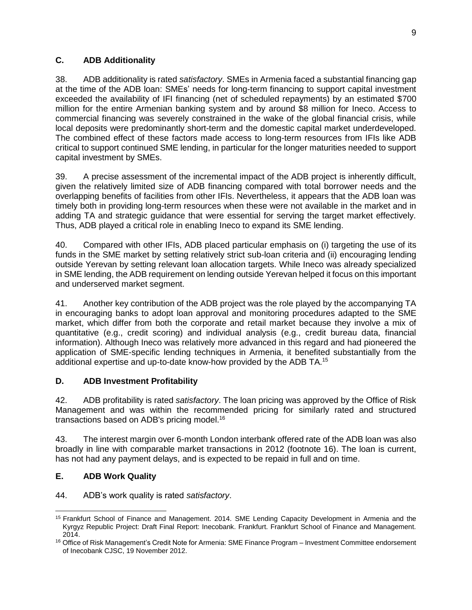# <span id="page-16-0"></span>**C. ADB Additionality**

38. ADB additionality is rated *satisfactory*. SMEs in Armenia faced a substantial financing gap at the time of the ADB loan: SMEs' needs for long-term financing to support capital investment exceeded the availability of IFI financing (net of scheduled repayments) by an estimated \$700 million for the entire Armenian banking system and by around \$8 million for Ineco. Access to commercial financing was severely constrained in the wake of the global financial crisis, while local deposits were predominantly short-term and the domestic capital market underdeveloped. The combined effect of these factors made access to long-term resources from IFIs like ADB critical to support continued SME lending, in particular for the longer maturities needed to support capital investment by SMEs.

39. A precise assessment of the incremental impact of the ADB project is inherently difficult, given the relatively limited size of ADB financing compared with total borrower needs and the overlapping benefits of facilities from other IFIs. Nevertheless, it appears that the ADB loan was timely both in providing long-term resources when these were not available in the market and in adding TA and strategic guidance that were essential for serving the target market effectively. Thus, ADB played a critical role in enabling Ineco to expand its SME lending.

40. Compared with other IFIs, ADB placed particular emphasis on (i) targeting the use of its funds in the SME market by setting relatively strict sub-loan criteria and (ii) encouraging lending outside Yerevan by setting relevant loan allocation targets. While Ineco was already specialized in SME lending, the ADB requirement on lending outside Yerevan helped it focus on this important and underserved market segment.

41. Another key contribution of the ADB project was the role played by the accompanying TA in encouraging banks to adopt loan approval and monitoring procedures adapted to the SME market, which differ from both the corporate and retail market because they involve a mix of quantitative (e.g., credit scoring) and individual analysis (e.g., credit bureau data, financial information). Although Ineco was relatively more advanced in this regard and had pioneered the application of SME-specific lending techniques in Armenia, it benefited substantially from the additional expertise and up-to-date know-how provided by the ADB TA.<sup>15</sup>

# <span id="page-16-1"></span>**D. ADB Investment Profitability**

42. ADB profitability is rated *satisfactory*. The loan pricing was approved by the Office of Risk Management and was within the recommended pricing for similarly rated and structured transactions based on ADB's pricing model.<sup>16</sup>

43. The interest margin over 6-month London interbank offered rate of the ADB loan was also broadly in line with comparable market transactions in 2012 (footnote 16). The loan is current, has not had any payment delays, and is expected to be repaid in full and on time.

# <span id="page-16-2"></span>**E. ADB Work Quality**

44. ADB's work quality is rated *satisfactory*.

 $\overline{a}$ <sup>15</sup> Frankfurt School of Finance and Management. 2014. SME Lending Capacity Development in Armenia and the Kyrgyz Republic Project: Draft Final Report: Inecobank. Frankfurt. Frankfurt School of Finance and Management. 2014.

<sup>16</sup> Office of Risk Management's Credit Note for Armenia: SME Finance Program – Investment Committee endorsement of Inecobank CJSC, 19 November 2012.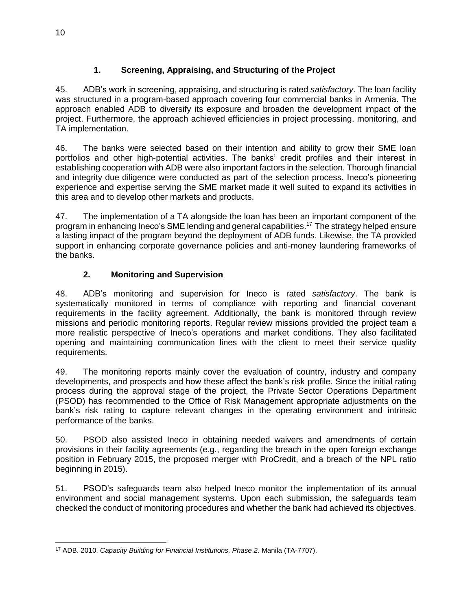# **1. Screening, Appraising, and Structuring of the Project**

45. ADB's work in screening, appraising, and structuring is rated *satisfactory*. The loan facility was structured in a program-based approach covering four commercial banks in Armenia. The approach enabled ADB to diversify its exposure and broaden the development impact of the project. Furthermore, the approach achieved efficiencies in project processing, monitoring, and TA implementation.

46. The banks were selected based on their intention and ability to grow their SME loan portfolios and other high-potential activities. The banks' credit profiles and their interest in establishing cooperation with ADB were also important factors in the selection. Thorough financial and integrity due diligence were conducted as part of the selection process. Ineco's pioneering experience and expertise serving the SME market made it well suited to expand its activities in this area and to develop other markets and products.

47. The implementation of a TA alongside the loan has been an important component of the program in enhancing Ineco's SME lending and general capabilities.<sup>17</sup> The strategy helped ensure a lasting impact of the program beyond the deployment of ADB funds. Likewise, the TA provided support in enhancing corporate governance policies and anti-money laundering frameworks of the banks.

# **2. Monitoring and Supervision**

48. ADB's monitoring and supervision for Ineco is rated *satisfactory*. The bank is systematically monitored in terms of compliance with reporting and financial covenant requirements in the facility agreement. Additionally, the bank is monitored through review missions and periodic monitoring reports. Regular review missions provided the project team a more realistic perspective of Ineco's operations and market conditions. They also facilitated opening and maintaining communication lines with the client to meet their service quality requirements.

49. The monitoring reports mainly cover the evaluation of country, industry and company developments, and prospects and how these affect the bank's risk profile. Since the initial rating process during the approval stage of the project, the Private Sector Operations Department (PSOD) has recommended to the Office of Risk Management appropriate adjustments on the bank's risk rating to capture relevant changes in the operating environment and intrinsic performance of the banks.

50. PSOD also assisted Ineco in obtaining needed waivers and amendments of certain provisions in their facility agreements (e.g., regarding the breach in the open foreign exchange position in February 2015, the proposed merger with ProCredit, and a breach of the NPL ratio beginning in 2015).

51. PSOD's safeguards team also helped Ineco monitor the implementation of its annual environment and social management systems. Upon each submission, the safeguards team checked the conduct of monitoring procedures and whether the bank had achieved its objectives.

 <sup>17</sup> ADB. 2010. *Capacity Building for Financial Institutions, Phase 2*. Manila (TA-7707).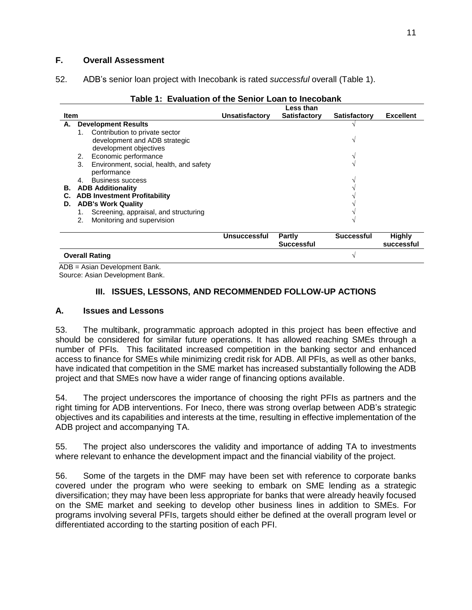### <span id="page-18-0"></span>**F. Overall Assessment**

52. ADB's senior loan project with Inecobank is rated *successful* overall (Table 1).

|             |                                               |                     | Less than           |                     |                  |
|-------------|-----------------------------------------------|---------------------|---------------------|---------------------|------------------|
| <b>Item</b> |                                               | Unsatisfactory      | <b>Satisfactory</b> | <b>Satisfactory</b> | <b>Excellent</b> |
| А.          | <b>Development Results</b>                    |                     |                     |                     |                  |
|             | Contribution to private sector<br>1.          |                     |                     |                     |                  |
|             | development and ADB strategic                 |                     |                     |                     |                  |
|             | development objectives                        |                     |                     |                     |                  |
|             | Economic performance<br>2.                    |                     |                     |                     |                  |
|             |                                               |                     |                     |                     |                  |
|             | Environment, social, health, and safety<br>3. |                     |                     |                     |                  |
|             | performance                                   |                     |                     |                     |                  |
|             | <b>Business success</b><br>4.                 |                     |                     |                     |                  |
| В.          | <b>ADB Additionality</b>                      |                     |                     |                     |                  |
| С.          | <b>ADB Investment Profitability</b>           |                     |                     |                     |                  |
| D.          | <b>ADB's Work Quality</b>                     |                     |                     |                     |                  |
|             | Screening, appraisal, and structuring<br>1.   |                     |                     |                     |                  |
|             |                                               |                     |                     |                     |                  |
|             | Monitoring and supervision<br>2.              |                     |                     |                     |                  |
|             |                                               |                     |                     |                     |                  |
|             |                                               | <b>Unsuccessful</b> | Partly              | <b>Successful</b>   | <b>Highly</b>    |
|             |                                               |                     | <b>Successful</b>   |                     | successful       |
|             | <b>Overall Rating</b>                         |                     |                     |                     |                  |

### **Table 1: Evaluation of the Senior Loan to Inecobank**

ADB = Asian Development Bank. Source: Asian Development Bank.

### <span id="page-18-1"></span>**III. ISSUES, LESSONS, AND RECOMMENDED FOLLOW-UP ACTIONS**

### <span id="page-18-2"></span>**A. Issues and Lessons**

53. The multibank, programmatic approach adopted in this project has been effective and should be considered for similar future operations. It has allowed reaching SMEs through a number of PFIs. This facilitated increased competition in the banking sector and enhanced access to finance for SMEs while minimizing credit risk for ADB. All PFIs, as well as other banks, have indicated that competition in the SME market has increased substantially following the ADB project and that SMEs now have a wider range of financing options available.

54. The project underscores the importance of choosing the right PFIs as partners and the right timing for ADB interventions. For Ineco, there was strong overlap between ADB's strategic objectives and its capabilities and interests at the time, resulting in effective implementation of the ADB project and accompanying TA.

55. The project also underscores the validity and importance of adding TA to investments where relevant to enhance the development impact and the financial viability of the project.

56. Some of the targets in the DMF may have been set with reference to corporate banks covered under the program who were seeking to embark on SME lending as a strategic diversification; they may have been less appropriate for banks that were already heavily focused on the SME market and seeking to develop other business lines in addition to SMEs. For programs involving several PFIs, targets should either be defined at the overall program level or differentiated according to the starting position of each PFI.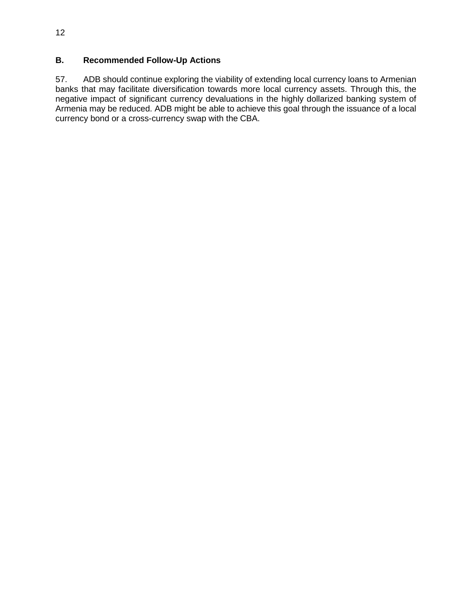# <span id="page-19-0"></span>**B. Recommended Follow-Up Actions**

57. ADB should continue exploring the viability of extending local currency loans to Armenian banks that may facilitate diversification towards more local currency assets. Through this, the negative impact of significant currency devaluations in the highly dollarized banking system of Armenia may be reduced. ADB might be able to achieve this goal through the issuance of a local currency bond or a cross-currency swap with the CBA.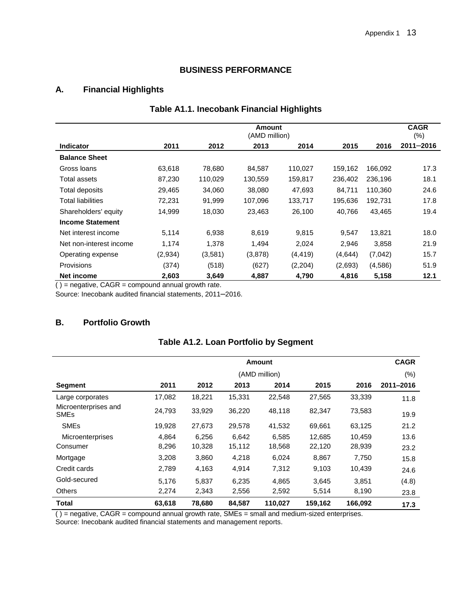# **BUSINESS PERFORMANCE**

# **A. Financial Highlights**

| <b>Table A1.1. Inecobank Financial Highlights</b> |  |
|---------------------------------------------------|--|
|---------------------------------------------------|--|

|                          |         |         | <b>Amount</b><br>(AMD million) |          |         |         | <b>CAGR</b><br>$(\% )$ |
|--------------------------|---------|---------|--------------------------------|----------|---------|---------|------------------------|
| <b>Indicator</b>         | 2011    | 2012    | 2013                           | 2014     | 2015    | 2016    | $2011 - 2016$          |
| <b>Balance Sheet</b>     |         |         |                                |          |         |         |                        |
| Gross Ioans              | 63,618  | 78.680  | 84.587                         | 110,027  | 159,162 | 166.092 | 17.3                   |
| Total assets             | 87,230  | 110,029 | 130,559                        | 159,817  | 236,402 | 236,196 | 18.1                   |
| Total deposits           | 29,465  | 34,060  | 38,080                         | 47,693   | 84,711  | 110.360 | 24.6                   |
| <b>Total liabilities</b> | 72,231  | 91,999  | 107,096                        | 133,717  | 195,636 | 192.731 | 17.8                   |
| Shareholders' equity     | 14.999  | 18,030  | 23,463                         | 26,100   | 40.766  | 43,465  | 19.4                   |
| <b>Income Statement</b>  |         |         |                                |          |         |         |                        |
| Net interest income      | 5,114   | 6,938   | 8,619                          | 9,815    | 9,547   | 13,821  | 18.0                   |
| Net non-interest income  | 1,174   | 1,378   | 1,494                          | 2,024    | 2,946   | 3,858   | 21.9                   |
| Operating expense        | (2,934) | (3,581) | (3,878)                        | (4, 419) | (4,644) | (7,042) | 15.7                   |
| Provisions               | (374)   | (518)   | (627)                          | (2,204)  | (2,693) | (4,586) | 51.9                   |
| Net income               | 2,603   | 3,649   | 4,887                          | 4,790    | 4,816   | 5,158   | 12.1                   |

 $( )$  = negative, CAGR = compound annual growth rate.

Source: Inecobank audited financial statements, 2011–2016.

### **B. Portfolio Growth**

| <b>Table A1.2. Loan Portfolio by Segment</b> |  |  |  |  |
|----------------------------------------------|--|--|--|--|
|----------------------------------------------|--|--|--|--|

|                                                | Amount |        |        |               |         | <b>CAGR</b> |           |
|------------------------------------------------|--------|--------|--------|---------------|---------|-------------|-----------|
|                                                |        |        |        | (AMD million) |         |             | $(\% )$   |
| Segment                                        | 2011   | 2012   | 2013   | 2014          | 2015    | 2016        | 2011-2016 |
| Large corporates                               | 17,082 | 18,221 | 15,331 | 22,548        | 27,565  | 33,339      | 11.8      |
| Microenterprises and<br><b>SME<sub>s</sub></b> | 24,793 | 33,929 | 36,220 | 48,118        | 82,347  | 73,583      | 19.9      |
| <b>SME<sub>s</sub></b>                         | 19,928 | 27,673 | 29,578 | 41,532        | 69,661  | 63,125      | 21.2      |
| <b>Microenterprises</b>                        | 4,864  | 6,256  | 6,642  | 6,585         | 12,685  | 10,459      | 13.6      |
| Consumer                                       | 8,296  | 10,328 | 15,112 | 18,568        | 22,120  | 28,939      | 23.2      |
| Mortgage                                       | 3,208  | 3,860  | 4,218  | 6,024         | 8,867   | 7,750       | 15.8      |
| Credit cards                                   | 2,789  | 4,163  | 4,914  | 7,312         | 9,103   | 10,439      | 24.6      |
| Gold-secured                                   | 5.176  | 5.837  | 6,235  | 4.865         | 3.645   | 3,851       | (4.8)     |
| <b>Others</b>                                  | 2,274  | 2,343  | 2,556  | 2,592         | 5,514   | 8,190       | 23.8      |
| <b>Total</b>                                   | 63,618 | 78,680 | 84,587 | 110,027       | 159,162 | 166,092     | 17.3      |

( ) = negative, CAGR = compound annual growth rate, SMEs = small and medium-sized enterprises. Source: Inecobank audited financial statements and management reports.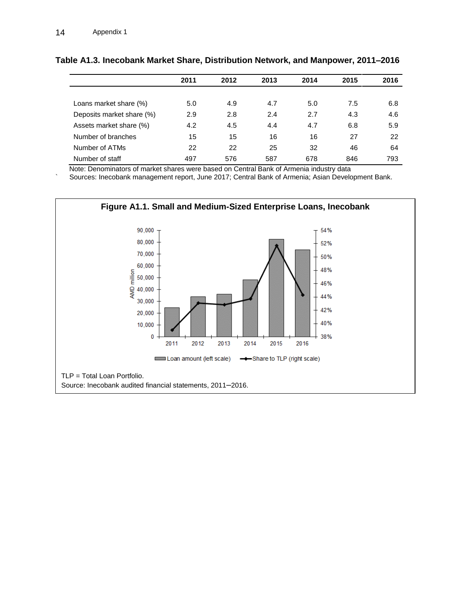|                           | 2011 | 2012 | 2013 | 2014 | 2015 | 2016 |
|---------------------------|------|------|------|------|------|------|
|                           |      |      |      |      |      |      |
| Loans market share (%)    | 5.0  | 4.9  | 4.7  | 5.0  | 7.5  | 6.8  |
| Deposits market share (%) | 2.9  | 2.8  | 2.4  | 2.7  | 4.3  | 4.6  |
| Assets market share (%)   | 4.2  | 4.5  | 4.4  | 4.7  | 6.8  | 5.9  |
| Number of branches        | 15   | 15   | 16   | 16   | 27   | 22   |
| Number of ATMs            | 22   | 22   | 25   | 32   | 46   | 64   |
| Number of staff           | 497  | 576  | 587  | 678  | 846  | 793  |

#### **Table A1.3. Inecobank Market Share, Distribution Network, and Manpower, 2011–2016**

Note: Denominators of market shares were based on Central Bank of Armenia industry data

Sources: Inecobank management report, June 2017; Central Bank of Armenia; Asian Development Bank.

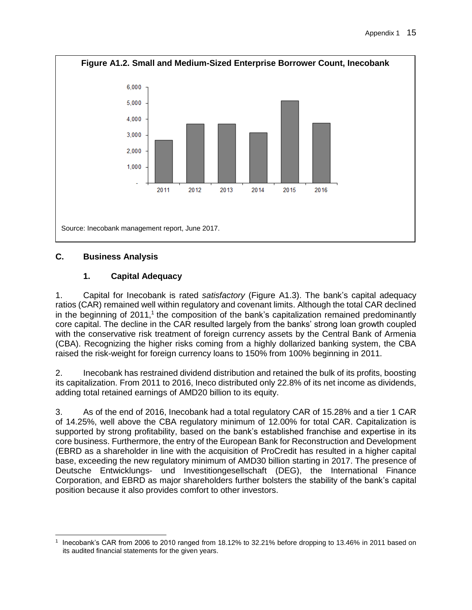

# **C. Business Analysis**

# **1. Capital Adequacy**

1. Capital for Inecobank is rated *satisfactory* (Figure A1.3). The bank's capital adequacy ratios (CAR) remained well within regulatory and covenant limits. Although the total CAR declined in the beginning of 2011,<sup>1</sup> the composition of the bank's capitalization remained predominantly core capital. The decline in the CAR resulted largely from the banks' strong loan growth coupled with the conservative risk treatment of foreign currency assets by the Central Bank of Armenia (CBA). Recognizing the higher risks coming from a highly dollarized banking system, the CBA raised the risk-weight for foreign currency loans to 150% from 100% beginning in 2011.

2. Inecobank has restrained dividend distribution and retained the bulk of its profits, boosting its capitalization. From 2011 to 2016, Ineco distributed only 22.8% of its net income as dividends, adding total retained earnings of AMD20 billion to its equity.

3. As of the end of 2016, Inecobank had a total regulatory CAR of 15.28% and a tier 1 CAR of 14.25%, well above the CBA regulatory minimum of 12.00% for total CAR. Capitalization is supported by strong profitability, based on the bank's established franchise and expertise in its core business. Furthermore, the entry of the European Bank for Reconstruction and Development (EBRD as a shareholder in line with the acquisition of ProCredit has resulted in a higher capital base, exceeding the new regulatory minimum of AMD30 billion starting in 2017. The presence of Deutsche Entwicklungs- und Investitiongesellschaft (DEG), the International Finance Corporation, and EBRD as major shareholders further bolsters the stability of the bank's capital position because it also provides comfort to other investors.

 $\overline{a}$ 1 Inecobank's CAR from 2006 to 2010 ranged from 18.12% to 32.21% before dropping to 13.46% in 2011 based on its audited financial statements for the given years.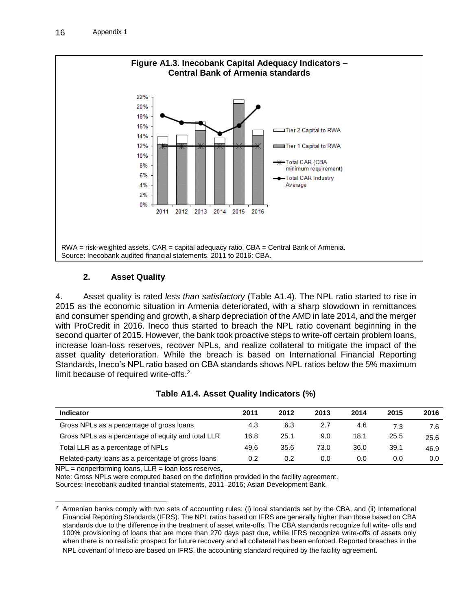

### **2. Asset Quality**

4. Asset quality is rated *less than satisfactory* (Table A1.4). The NPL ratio started to rise in 2015 as the economic situation in Armenia deteriorated, with a sharp slowdown in remittances and consumer spending and growth, a sharp depreciation of the AMD in late 2014, and the merger with ProCredit in 2016. Ineco thus started to breach the NPL ratio covenant beginning in the second quarter of 2015. However, the bank took proactive steps to write-off certain problem loans, increase loan-loss reserves, recover NPLs, and realize collateral to mitigate the impact of the asset quality deterioration. While the breach is based on International Financial Reporting Standards, Ineco's NPL ratio based on CBA standards shows NPL ratios below the 5% maximum limit because of required write-offs.<sup>2</sup>

| Table A1.4. Asset Quality Indicators (%) |  |  |  |
|------------------------------------------|--|--|--|
|------------------------------------------|--|--|--|

| <b>Indicator</b>                                   | 2011 | 2012 | 2013 | 2014 | 2015 | 2016 |
|----------------------------------------------------|------|------|------|------|------|------|
| Gross NPLs as a percentage of gross loans          | 4.3  | 6.3  | 2.7  | 4.6  | 7.3  | 7.6  |
| Gross NPLs as a percentage of equity and total LLR | 16.8 | 25.1 | 9.0  | 18.1 | 25.5 | 25.6 |
| Total LLR as a percentage of NPLs                  | 49.6 | 35.6 | 73.0 | 36.0 | 39.1 | 46.9 |
| Related-party loans as a percentage of gross loans | 0.2  | 0.2  | 0.0  | 0.0  | 0.0  | 0.0  |

 $NPL = nonperforming loans, LLR = loan loss reserves,$ 

Note: Gross NPLs were computed based on the definition provided in the facility agreement.

Sources: Inecobank audited financial statements, 2011–2016; Asian Development Bank.

  $2$  Armenian banks comply with two sets of accounting rules: (i) local standards set by the CBA, and (ii) International Financial Reporting Standards (IFRS). The NPL ratios based on IFRS are generally higher than those based on CBA standards due to the difference in the treatment of asset write-offs. The CBA standards recognize full write- offs and 100% provisioning of loans that are more than 270 days past due, while IFRS recognize write-offs of assets only when there is no realistic prospect for future recovery and all collateral has been enforced. Reported breaches in the NPL covenant of Ineco are based on IFRS, the accounting standard required by the facility agreement.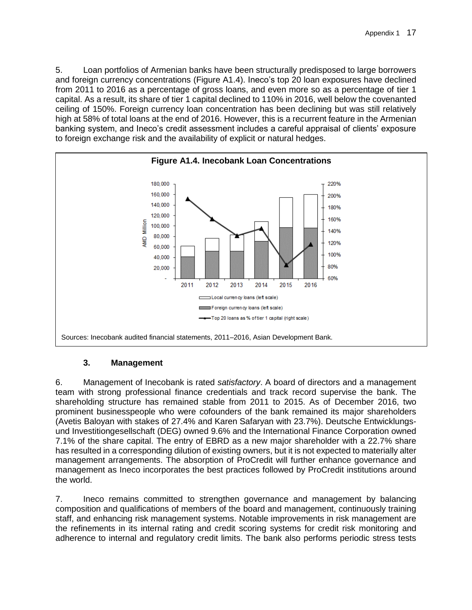5. Loan portfolios of Armenian banks have been structurally predisposed to large borrowers and foreign currency concentrations (Figure A1.4). Ineco's top 20 loan exposures have declined from 2011 to 2016 as a percentage of gross loans, and even more so as a percentage of tier 1 capital. As a result, its share of tier 1 capital declined to 110% in 2016, well below the covenanted ceiling of 150%. Foreign currency loan concentration has been declining but was still relatively high at 58% of total loans at the end of 2016. However, this is a recurrent feature in the Armenian banking system, and Ineco's credit assessment includes a careful appraisal of clients' exposure to foreign exchange risk and the availability of explicit or natural hedges.



### **3. Management**

6. Management of Inecobank is rated *satisfactory*. A board of directors and a management team with strong professional finance credentials and track record supervise the bank. The shareholding structure has remained stable from 2011 to 2015. As of December 2016, two prominent businesspeople who were cofounders of the bank remained its major shareholders (Avetis Baloyan with stakes of 27.4% and Karen Safaryan with 23.7%). Deutsche Entwicklungsund Investitiongesellschaft (DEG) owned 9.6% and the International Finance Corporation owned 7.1% of the share capital. The entry of EBRD as a new major shareholder with a 22.7% share has resulted in a corresponding dilution of existing owners, but it is not expected to materially alter management arrangements. The absorption of ProCredit will further enhance governance and management as Ineco incorporates the best practices followed by ProCredit institutions around the world.

7. Ineco remains committed to strengthen governance and management by balancing composition and qualifications of members of the board and management, continuously training staff, and enhancing risk management systems. Notable improvements in risk management are the refinements in its internal rating and credit scoring systems for credit risk monitoring and adherence to internal and regulatory credit limits. The bank also performs periodic stress tests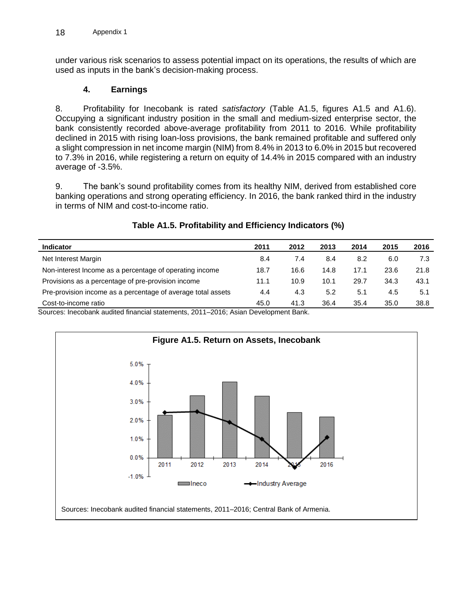under various risk scenarios to assess potential impact on its operations, the results of which are used as inputs in the bank's decision-making process.

### **4. Earnings**

8. Profitability for Inecobank is rated *satisfactory* (Table A1.5, figures A1.5 and A1.6). Occupying a significant industry position in the small and medium-sized enterprise sector, the bank consistently recorded above-average profitability from 2011 to 2016. While profitability declined in 2015 with rising loan-loss provisions, the bank remained profitable and suffered only a slight compression in net income margin (NIM) from 8.4% in 2013 to 6.0% in 2015 but recovered to 7.3% in 2016, while registering a return on equity of 14.4% in 2015 compared with an industry average of -3.5%.

9. The bank's sound profitability comes from its healthy NIM, derived from established core banking operations and strong operating efficiency. In 2016, the bank ranked third in the industry in terms of NIM and cost-to-income ratio.

| <b>Indicator</b>                                             | 2011 | 2012 | 2013 | 2014 | 2015 | 2016 |
|--------------------------------------------------------------|------|------|------|------|------|------|
| Net Interest Margin                                          | 8.4  | 7.4  | 8.4  | 8.2  | 6.0  | 7.3  |
| Non-interest Income as a percentage of operating income      | 18.7 | 16.6 | 14.8 | 17.1 | 23.6 | 21.8 |
| Provisions as a percentage of pre-provision income           | 11.1 | 10.9 | 10.1 | 29.7 | 34.3 | 43.1 |
| Pre-provision income as a percentage of average total assets | 4.4  | 4.3  | 5.2  | 5.1  | 4.5  | 5.1  |
| Cost-to-income ratio                                         | 45.0 | 41.3 | 36.4 | 35.4 | 35.0 | 38.8 |

# **Table A1.5. Profitability and Efficiency Indicators (%)**

Sources: Inecobank audited financial statements, 2011–2016; Asian Development Bank.

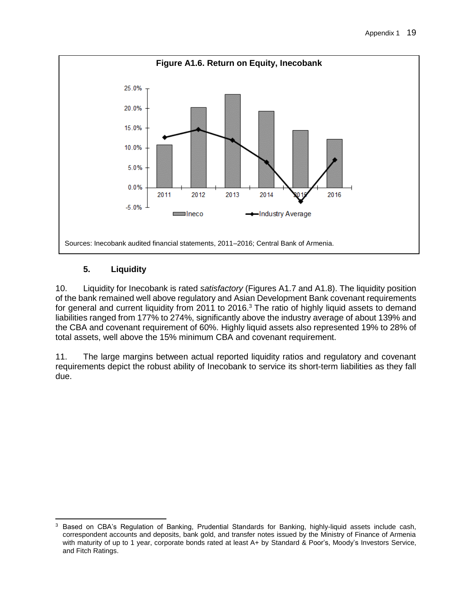

# **5. Liquidity**

10. Liquidity for Inecobank is rated *satisfactory* (Figures A1.7 and A1.8). The liquidity position of the bank remained well above regulatory and Asian Development Bank covenant requirements for general and current liquidity from 2011 to 2016. $3$  The ratio of highly liquid assets to demand liabilities ranged from 177% to 274%, significantly above the industry average of about 139% and the CBA and covenant requirement of 60%. Highly liquid assets also represented 19% to 28% of total assets, well above the 15% minimum CBA and covenant requirement.

11. The large margins between actual reported liquidity ratios and regulatory and covenant requirements depict the robust ability of Inecobank to service its short-term liabilities as they fall due.

 $\mathbf{3}$ Based on CBA's Regulation of Banking, Prudential Standards for Banking, highly-liquid assets include cash, correspondent accounts and deposits, bank gold, and transfer notes issued by the Ministry of Finance of Armenia with maturity of up to 1 year, corporate bonds rated at least A+ by Standard & Poor's, Moody's Investors Service, and Fitch Ratings.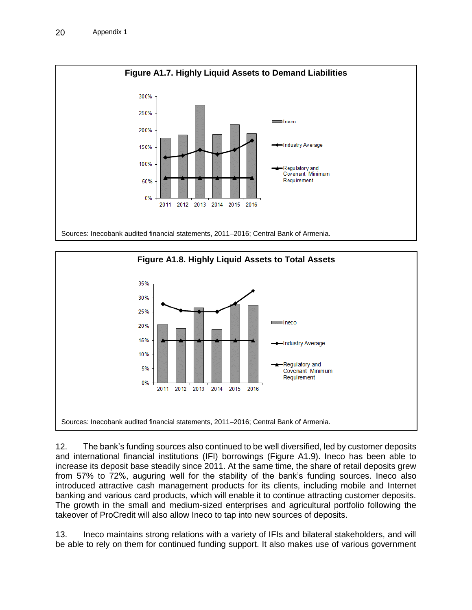



12. The bank's funding sources also continued to be well diversified, led by customer deposits and international financial institutions (IFI) borrowings (Figure A1.9). Ineco has been able to increase its deposit base steadily since 2011. At the same time, the share of retail deposits grew from 57% to 72%, auguring well for the stability of the bank's funding sources. Ineco also introduced attractive cash management products for its clients, including mobile and Internet banking and various card products, which will enable it to continue attracting customer deposits. The growth in the small and medium-sized enterprises and agricultural portfolio following the takeover of ProCredit will also allow Ineco to tap into new sources of deposits.

13. Ineco maintains strong relations with a variety of IFIs and bilateral stakeholders, and will be able to rely on them for continued funding support. It also makes use of various government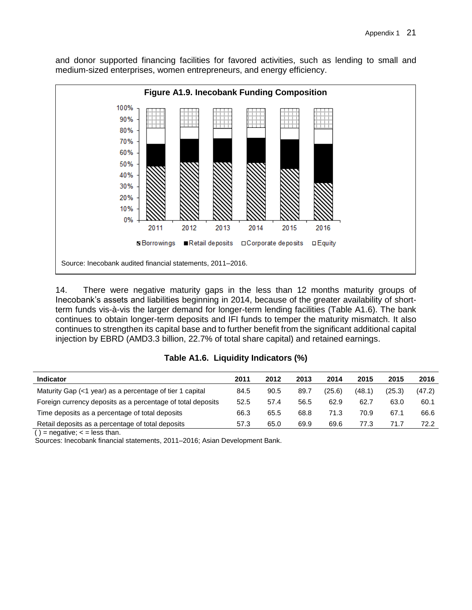and donor supported financing facilities for favored activities, such as lending to small and medium-sized enterprises, women entrepreneurs, and energy efficiency.



14. There were negative maturity gaps in the less than 12 months maturity groups of Inecobank's assets and liabilities beginning in 2014, because of the greater availability of shortterm funds vis-à-vis the larger demand for longer-term lending facilities (Table A1.6). The bank continues to obtain longer-term deposits and IFI funds to temper the maturity mismatch. It also continues to strengthen its capital base and to further benefit from the significant additional capital injection by EBRD (AMD3.3 billion, 22.7% of total share capital) and retained earnings.

| Table A1.6. Liquidity Indicators (%) |  |  |  |
|--------------------------------------|--|--|--|
|--------------------------------------|--|--|--|

| <b>Indicator</b>                                            | 2011 | 2012 | 2013 | 2014   | 2015   | 2015   | 2016   |
|-------------------------------------------------------------|------|------|------|--------|--------|--------|--------|
| Maturity Gap (<1 year) as a percentage of tier 1 capital    | 84.5 | 90.5 | 89.7 | (25.6) | (48.1) | (25.3) | (47.2) |
| Foreign currency deposits as a percentage of total deposits | 52.5 | 57.4 | 56.5 | 62.9   | 62.7   | 63.0   | 60.1   |
| Time deposits as a percentage of total deposits             | 66.3 | 65.5 | 68.8 | 71.3   | 70.9   | 67.1   | 66.6   |
| Retail deposits as a percentage of total deposits           | 57.3 | 65.0 | 69.9 | 69.6   | 77.3   | 71.7   | 72.2   |

( ) = negative;  $\lt$  = less than.

Sources: Inecobank financial statements, 2011–2016; Asian Development Bank.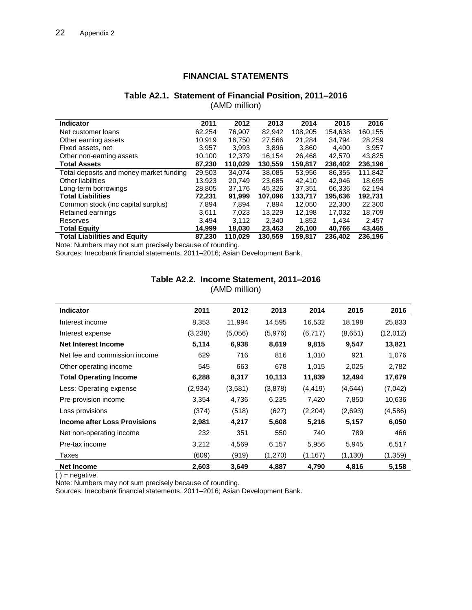### **FINANCIAL STATEMENTS**

#### **Table A2.1. Statement of Financial Position, 2011–2016** (AMD million)

| <b>Indicator</b>                        | 2011   | 2012    | 2013    | 2014    | 2015    | 2016    |
|-----------------------------------------|--------|---------|---------|---------|---------|---------|
| Net customer loans                      | 62.254 | 76.907  | 82.942  | 108.205 | 154.638 | 160.155 |
| Other earning assets                    | 10,919 | 16,750  | 27,566  | 21,284  | 34,794  | 28,259  |
| Fixed assets, net                       | 3.957  | 3.993   | 3,896   | 3,860   | 4.400   | 3,957   |
| Other non-earning assets                | 10,100 | 12,379  | 16,154  | 26,468  | 42,570  | 43,825  |
| <b>Total Assets</b>                     | 87,230 | 110,029 | 130,559 | 159,817 | 236,402 | 236,196 |
| Total deposits and money market funding | 29,503 | 34.074  | 38,085  | 53,956  | 86,355  | 111,842 |
| <b>Other liabilities</b>                | 13.923 | 20.749  | 23.685  | 42.410  | 42.946  | 18,695  |
| Long-term borrowings                    | 28,805 | 37,176  | 45.326  | 37,351  | 66,336  | 62,194  |
| <b>Total Liabilities</b>                | 72.231 | 91,999  | 107,096 | 133,717 | 195,636 | 192,731 |
| Common stock (inc capital surplus)      | 7.894  | 7.894   | 7.894   | 12.050  | 22,300  | 22,300  |
| Retained earnings                       | 3.611  | 7.023   | 13.229  | 12.198  | 17.032  | 18,709  |
| Reserves                                | 3.494  | 3.112   | 2.340   | 1,852   | 1.434   | 2.457   |
| <b>Total Equity</b>                     | 14,999 | 18,030  | 23,463  | 26,100  | 40,766  | 43,465  |
| <b>Total Liabilities and Equity</b>     | 87.230 | 110.029 | 130.559 | 159.817 | 236.402 | 236.196 |

Note: Numbers may not sum precisely because of rounding.

Sources: Inecobank financial statements, 2011–2016; Asian Development Bank.

| Table A2.2. Income Statement, 2011–2016 |  |
|-----------------------------------------|--|
| (AMD million)                           |  |

| <b>Indicator</b>                    | 2011    | 2012    | 2013    | 2014     | 2015     | 2016     |
|-------------------------------------|---------|---------|---------|----------|----------|----------|
| Interest income                     | 8,353   | 11,994  | 14,595  | 16,532   | 18,198   | 25,833   |
| Interest expense                    | (3,238) | (5,056) | (5,976) | (6, 717) | (8,651)  | (12,012) |
| Net Interest Income                 | 5,114   | 6,938   | 8,619   | 9,815    | 9,547    | 13,821   |
| Net fee and commission income       | 629     | 716     | 816     | 1,010    | 921      | 1,076    |
| Other operating income              | 545     | 663     | 678     | 1,015    | 2,025    | 2,782    |
| <b>Total Operating Income</b>       | 6,288   | 8,317   | 10,113  | 11,839   | 12,494   | 17,679   |
| Less: Operating expense             | (2,934) | (3,581) | (3,878) | (4, 419) | (4,644)  | (7,042)  |
| Pre-provision income                | 3,354   | 4,736   | 6,235   | 7,420    | 7,850    | 10,636   |
| Loss provisions                     | (374)   | (518)   | (627)   | (2,204)  | (2,693)  | (4,586)  |
| <b>Income after Loss Provisions</b> | 2,981   | 4,217   | 5,608   | 5,216    | 5,157    | 6,050    |
| Net non-operating income            | 232     | 351     | 550     | 740      | 789      | 466      |
| Pre-tax income                      | 3,212   | 4,569   | 6,157   | 5,956    | 5,945    | 6,517    |
| Taxes                               | (609)   | (919)   | (1,270) | (1, 167) | (1, 130) | (1, 359) |
| <b>Net Income</b>                   | 2,603   | 3,649   | 4,887   | 4,790    | 4,816    | 5,158    |

 $( ) =$  negative.

Note: Numbers may not sum precisely because of rounding.

Sources: Inecobank financial statements, 2011–2016; Asian Development Bank.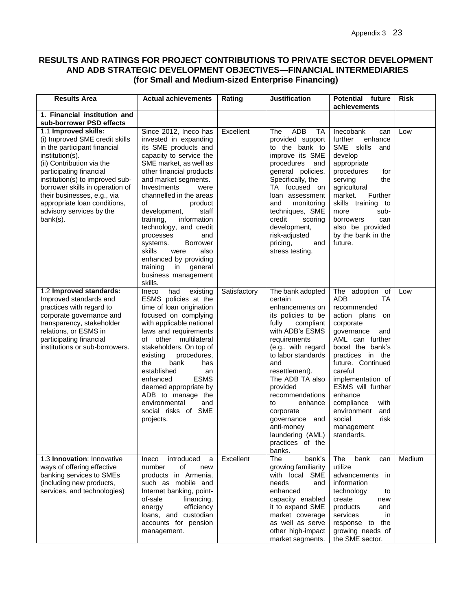### **RESULTS AND RATINGS FOR PROJECT CONTRIBUTIONS TO PRIVATE SECTOR DEVELOPMENT AND ADB STRATEGIC DEVELOPMENT OBJECTIVES—FINANCIAL INTERMEDIARIES (for Small and Medium-sized Enterprise Financing)**

| <b>Results Area</b>                                                                                                                                                                                                                                                                                                                            | <b>Actual achievements</b>                                                                                                                                                                                                                                                                                                                                                                                                                                                                             | Rating       | <b>Justification</b>                                                                                                                                                                                                                                                                                                                                                    | <b>Potential future</b><br>achievements                                                                                                                                                                                                                                                                                                         | <b>Risk</b> |
|------------------------------------------------------------------------------------------------------------------------------------------------------------------------------------------------------------------------------------------------------------------------------------------------------------------------------------------------|--------------------------------------------------------------------------------------------------------------------------------------------------------------------------------------------------------------------------------------------------------------------------------------------------------------------------------------------------------------------------------------------------------------------------------------------------------------------------------------------------------|--------------|-------------------------------------------------------------------------------------------------------------------------------------------------------------------------------------------------------------------------------------------------------------------------------------------------------------------------------------------------------------------------|-------------------------------------------------------------------------------------------------------------------------------------------------------------------------------------------------------------------------------------------------------------------------------------------------------------------------------------------------|-------------|
| 1. Financial institution and<br>sub-borrower PSD effects                                                                                                                                                                                                                                                                                       |                                                                                                                                                                                                                                                                                                                                                                                                                                                                                                        |              |                                                                                                                                                                                                                                                                                                                                                                         |                                                                                                                                                                                                                                                                                                                                                 |             |
| 1.1 Improved skills:<br>(i) Improved SME credit skills<br>in the participant financial<br>institution(s).<br>(ii) Contribution via the<br>participating financial<br>institution(s) to improved sub-<br>borrower skills in operation of<br>their businesses, e.g., via<br>appropriate loan conditions,<br>advisory services by the<br>bank(s). | Since 2012, Ineco has<br>invested in expanding<br>its SME products and<br>capacity to service the<br>SME market, as well as<br>other financial products<br>and market segments.<br>Investments<br>were<br>channelled in the areas<br>of<br>product<br>development,<br>staff<br>training,<br>information<br>technology, and credit<br>processes<br>and<br><b>Borrower</b><br>systems.<br>skills<br>also<br>were<br>enhanced by providing<br>training<br>general<br>in<br>business management<br>skills. | Excellent    | ADB<br><b>The</b><br><b>TA</b><br>provided support<br>to the bank to<br>improve its SME<br>procedures<br>and<br>general policies.<br>Specifically, the<br>TA focused on<br>loan assessment<br>monitoring<br>and<br>techniques, SME<br>credit<br>scoring<br>development,<br>risk-adjusted<br>pricing,<br>and<br>stress testing.                                          | Inecobank<br>can<br>further<br>enhance<br>SME skills<br>and<br>develop<br>appropriate<br>procedures<br>for<br>serving<br>the<br>agricultural<br>market.<br>Further<br>skills training to<br>sub-<br>more<br>borrowers<br>can<br>also be provided<br>by the bank in the<br>future.                                                               | Low         |
| 1.2 Improved standards:<br>Improved standards and<br>practices with regard to<br>corporate governance and<br>transparency, stakeholder<br>relations, or ESMS in<br>participating financial<br>institutions or sub-borrowers.                                                                                                                   | Ineco<br>had<br>existing<br>ESMS policies at the<br>time of loan origination<br>focused on complying<br>with applicable national<br>laws and requirements<br>of other multilateral<br>stakeholders. On top of<br>existing<br>procedures,<br>bank<br>the<br>has<br>established<br>an<br><b>ESMS</b><br>enhanced<br>deemed appropriate by<br>ADB to manage the<br>environmental<br>and<br>social risks of SME<br>projects.                                                                               | Satisfactory | The bank adopted<br>certain<br>enhancements on<br>its policies to be<br>fully<br>compliant<br>with ADB's ESMS<br>requirements<br>(e.g., with regard<br>to labor standards<br>and<br>resettlement).<br>The ADB TA also<br>provided<br>recommendations<br>to<br>enhance<br>corporate<br>governance<br>and<br>anti-money<br>laundering (AML)<br>practices of the<br>banks. | The adoption $of$<br>ADB<br>TA<br>recommended<br>action plans<br>on<br>corporate<br>governance<br>and<br>AML can further<br>boost the bank's<br>practices in the<br>future. Continued<br>careful<br>implementation of<br>ESMS will further<br>enhance<br>compliance<br>with<br>environment<br>and<br>social<br>risk<br>management<br>standards. | Low         |
| 1.3 Innovation: Innovative<br>ways of offering effective<br>banking services to SMEs<br>(including new products,<br>services, and technologies)                                                                                                                                                                                                | introduced<br>Ineco<br>a<br>number<br>of<br>new<br>products in Armenia,<br>such as mobile and<br>Internet banking, point-<br>of-sale<br>financing,<br>efficiency<br>energy<br>loans, and custodian<br>accounts for pension<br>management.                                                                                                                                                                                                                                                              | Excellent    | The<br>bank's<br>growing familiarity<br>with local SME<br>needs<br>and<br>enhanced<br>capacity enabled<br>it to expand SME<br>market coverage<br>as well as serve<br>other high-impact<br>market segments.                                                                                                                                                              | The<br>bank<br>can<br>utilize<br>advancements<br>in.<br>information<br>technology<br>to<br>create<br>new<br>products<br>and<br>services<br>in<br>response to the<br>growing needs of<br>the SME sector.                                                                                                                                         | Medium      |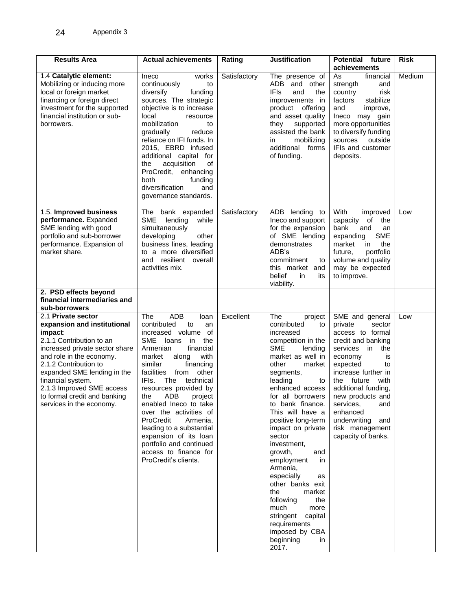| <b>Results Area</b>                                                                                                                                                                                                                                                                                                          | <b>Actual achievements</b>                                                                                                                                                                                                                                                                                                                                                                                                                                                                                             | Rating       | <b>Justification</b>                                                                                                                                                                                                                                                                                                                                                                                                                                                                                                                                        | <b>Potential future</b><br>achievements                                                                                                                                                                                                                                                                                         | <b>Risk</b> |
|------------------------------------------------------------------------------------------------------------------------------------------------------------------------------------------------------------------------------------------------------------------------------------------------------------------------------|------------------------------------------------------------------------------------------------------------------------------------------------------------------------------------------------------------------------------------------------------------------------------------------------------------------------------------------------------------------------------------------------------------------------------------------------------------------------------------------------------------------------|--------------|-------------------------------------------------------------------------------------------------------------------------------------------------------------------------------------------------------------------------------------------------------------------------------------------------------------------------------------------------------------------------------------------------------------------------------------------------------------------------------------------------------------------------------------------------------------|---------------------------------------------------------------------------------------------------------------------------------------------------------------------------------------------------------------------------------------------------------------------------------------------------------------------------------|-------------|
| 1.4 Catalytic element:<br>Mobilizing or inducing more<br>local or foreign market<br>financing or foreign direct<br>investment for the supported<br>financial institution or sub-<br>borrowers.                                                                                                                               | Ineco<br>works<br>continuously<br>to<br>diversify<br>funding<br>sources. The strategic<br>objective is to increase<br>local<br>resource<br>mobilization<br>to<br>gradually<br>reduce<br>reliance on IFI funds. In<br>2015, EBRD infused<br>additional capital for<br>of<br>acquisition<br>the<br>ProCredit, enhancing<br>both<br>funding<br>diversification<br>and<br>governance standards.                                                                                                                            | Satisfactory | The presence of<br>ADB and other<br>IFIs<br>and<br>the<br>improvements<br>in<br>product offering<br>and asset quality<br>supported<br>they<br>assisted the bank<br>mobilizing<br>in.<br>additional<br>forms<br>of funding.                                                                                                                                                                                                                                                                                                                                  | As<br>financial<br>strength<br>and<br>country<br>risk<br>factors<br>stabilize<br>and<br>improve,<br>Ineco may gain<br>more opportunities<br>to diversify funding<br>sources<br>outside<br>IFIs and customer<br>deposits.                                                                                                        | Medium      |
| 1.5. Improved business<br>performance. Expanded<br>SME lending with good<br>portfolio and sub-borrower<br>performance. Expansion of<br>market share.<br>2. PSD effects beyond                                                                                                                                                | The bank expanded<br>lending<br><b>SME</b><br>while<br>simultaneously<br>developing<br>other<br>business lines, leading<br>to a more diversified<br>and resilient overall<br>activities mix.                                                                                                                                                                                                                                                                                                                           | Satisfactory | ADB lending to<br>Ineco and support<br>for the expansion<br>of SME lending<br>demonstrates<br>ADB's<br>commitment<br>to<br>this market and<br>belief<br>in<br>its<br>viability.                                                                                                                                                                                                                                                                                                                                                                             | With<br>improved<br>capacity<br>of<br>the<br>bank<br>and<br>an<br><b>SME</b><br>expanding<br>market<br>in<br>the<br>portfolio<br>future,<br>volume and quality<br>may be expected<br>to improve.                                                                                                                                | Low         |
| financial intermediaries and<br>sub-borrowers                                                                                                                                                                                                                                                                                |                                                                                                                                                                                                                                                                                                                                                                                                                                                                                                                        |              |                                                                                                                                                                                                                                                                                                                                                                                                                                                                                                                                                             |                                                                                                                                                                                                                                                                                                                                 |             |
| 2.1 Private sector<br>expansion and institutional<br>impact:<br>2.1.1 Contribution to an<br>increased private sector share<br>and role in the economy.<br>2.1.2 Contribution to<br>expanded SME lending in the<br>financial system.<br>2.1.3 Improved SME access<br>to formal credit and banking<br>services in the economy. | The<br><b>ADB</b><br>loan<br>contributed<br>to<br>an<br>increased volume of<br><b>SME</b><br>the<br>loans<br>in<br>Armenian<br>financial<br>with<br>market<br>along<br>similar<br>financing<br>facilities<br>from<br>other<br>IFIs.<br>The<br>technical<br>resources provided by<br>ADB<br>the<br>project<br>enabled Ineco to take<br>over the activities of<br>ProCredit<br>Armenia,<br>leading to a substantial<br>expansion of its loan<br>portfolio and continued<br>access to finance for<br>ProCredit's clients. | Excellent    | The<br>project<br>contributed<br>to<br>increased<br>competition in the<br><b>SME</b><br>lending<br>market as well in<br>other<br>market<br>segments,<br>leading<br>to<br>enhanced access<br>for all borrowers<br>to bank finance.<br>This will have a<br>positive long-term<br>impact on private<br>sector<br>investment,<br>growth,<br>and<br>employment<br>in<br>Armenia,<br>especially<br>as<br>other banks exit<br>the<br>market<br>following<br>the<br>much<br>more<br>stringent capital<br>requirements<br>imposed by CBA<br>beginning<br>in<br>2017. | SME and general<br>private<br>sector<br>access to formal<br>credit and banking<br>in<br>the<br>services<br>economy<br>is<br>expected<br>to<br>increase further in<br>the future with<br>additional funding,<br>new products and<br>services,<br>and<br>enhanced<br>underwriting<br>and<br>risk management<br>capacity of banks. | Low         |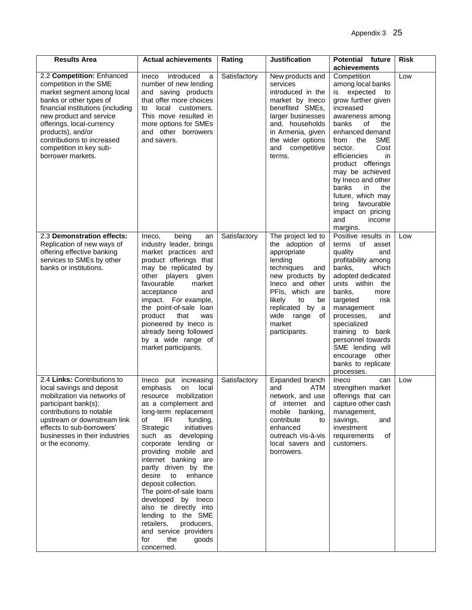| <b>Results Area</b>                                                                                                                                                                                                                                                                                          | <b>Actual achievements</b>                                                                                                                                                                                                                                                                                                                                                                                                                                                                                                                          | Rating       | <b>Justification</b>                                                                                                                                                                                                                  | <b>Potential future</b><br>achievements                                                                                                                                                                                                                                                                                                                                                                          | <b>Risk</b> |
|--------------------------------------------------------------------------------------------------------------------------------------------------------------------------------------------------------------------------------------------------------------------------------------------------------------|-----------------------------------------------------------------------------------------------------------------------------------------------------------------------------------------------------------------------------------------------------------------------------------------------------------------------------------------------------------------------------------------------------------------------------------------------------------------------------------------------------------------------------------------------------|--------------|---------------------------------------------------------------------------------------------------------------------------------------------------------------------------------------------------------------------------------------|------------------------------------------------------------------------------------------------------------------------------------------------------------------------------------------------------------------------------------------------------------------------------------------------------------------------------------------------------------------------------------------------------------------|-------------|
| 2.2 Competition: Enhanced<br>competition in the SME<br>market segment among local<br>banks or other types of<br>financial institutions (including<br>new product and service<br>offerings, local-currency<br>products), and/or<br>contributions to increased<br>competition in key sub-<br>borrower markets. | introduced<br>Ineco<br>a<br>number of new lending<br>and saving products<br>that offer more choices<br>local customers.<br>to<br>This move resulted in<br>more options for SMEs<br>and other borrowers<br>and savers.                                                                                                                                                                                                                                                                                                                               | Satisfactory | New products and<br>services<br>introduced in the<br>market by Ineco<br>benefited SMEs,<br>larger businesses<br>and, households<br>in Armenia, given<br>the wider options<br>and competitive<br>terms.                                | Competition<br>among local banks<br>expected<br>is<br>to<br>grow further given<br>increased<br>awareness among<br>banks<br>оf<br>the<br>enhanced demand<br><b>SME</b><br>the<br>from<br>Cost<br>sector.<br>efficiencies<br>in.<br>product offerings<br>may be achieved<br>by Ineco and other<br>banks<br>in<br>the<br>future, which may<br>favourable<br>bring<br>impact on pricing<br>and<br>income<br>margins. | Low         |
| 2.3 Demonstration effects:<br>Replication of new ways of<br>offering effective banking<br>services to SMEs by other<br>banks or institutions.                                                                                                                                                                | being<br>Ineco,<br>an<br>industry leader, brings<br>market practices and<br>product offerings that<br>may be replicated by<br>other players given<br>favourable<br>market<br>acceptance<br>and<br>impact. For example,<br>the point-of-sale loan<br>product<br>that<br>was<br>pioneered by Ineco is<br>already being followed<br>by a wide range of<br>market participants.                                                                                                                                                                         | Satisfactory | The project led to<br>the adoption of<br>appropriate<br>lending<br>techniques<br>and<br>new products by<br>Ineco and other<br>PFIs, which are<br>likely<br>to<br>be<br>replicated by a<br>wide range<br>0f<br>market<br>participants. | Positive results in<br>terms of<br>asset<br>quality<br>and<br>profitability among<br>banks,<br>which<br>adopted dedicated<br>units within<br>the<br>banks,<br>more<br>targeted<br>risk<br>management<br>processes,<br>and<br>specialized<br>training to bank<br>personnel towards<br>SME lending will<br>encourage other<br>banks to replicate<br>processes.                                                     | Low         |
| 2.4 Links: Contributions to<br>local savings and deposit<br>mobilization via networks of<br>participant bank(s);<br>contributions to notable<br>upstream or downstream link<br>effects to sub-borrowers'<br>businesses in their industries<br>or the economy.                                                | Ineco put increasing<br>emphasis<br>local<br>on<br>mobilization<br>resource<br>as a complement and<br>long-term replacement<br>IFI<br>funding.<br>οf<br>Strategic<br>initiatives<br>such as developing<br>corporate lending or<br>providing mobile and<br>internet banking are<br>partly driven by the<br>desire<br>to<br>enhance<br>deposit collection.<br>The point-of-sale loans<br>developed by Ineco<br>also tie directly into<br>lending to the SME<br>producers,<br>retailers,<br>and service providers<br>for<br>the<br>goods<br>concerned. | Satisfactory | Expanded branch<br>and<br>ATM<br>network, and use<br>of internet and<br>mobile<br>banking,<br>contribute<br>to<br>enhanced<br>outreach vis-à-vis<br>local savers and<br>borrowers.                                                    | Ineco<br>can<br>strengthen market<br>offerings that can<br>capture other cash<br>management,<br>savings,<br>and<br>investment<br>of<br>requirements<br>customers.                                                                                                                                                                                                                                                | Low         |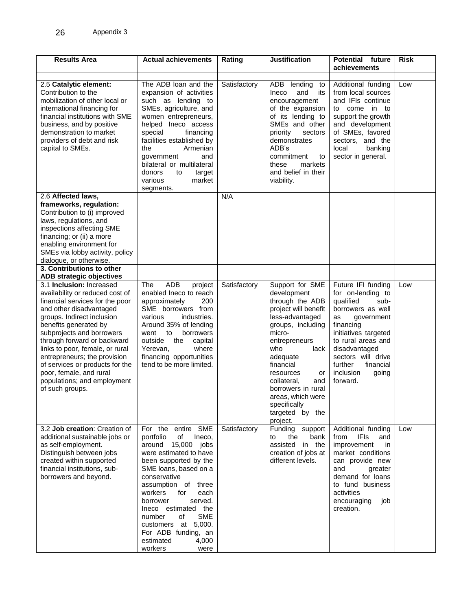| <b>Results Area</b>                                                                                                                                                                                                                                                                                                                                                                                                                                                                      | <b>Actual achievements</b>                                                                                                                                                                                                                                                                                                                                                               | Rating       | <b>Justification</b>                                                                                                                                                                                                                                                                                                    | <b>Potential future</b><br>achievements                                                                                                                                                                                                                           | <b>Risk</b> |
|------------------------------------------------------------------------------------------------------------------------------------------------------------------------------------------------------------------------------------------------------------------------------------------------------------------------------------------------------------------------------------------------------------------------------------------------------------------------------------------|------------------------------------------------------------------------------------------------------------------------------------------------------------------------------------------------------------------------------------------------------------------------------------------------------------------------------------------------------------------------------------------|--------------|-------------------------------------------------------------------------------------------------------------------------------------------------------------------------------------------------------------------------------------------------------------------------------------------------------------------------|-------------------------------------------------------------------------------------------------------------------------------------------------------------------------------------------------------------------------------------------------------------------|-------------|
| 2.5 Catalytic element:<br>Contribution to the<br>mobilization of other local or<br>international financing for<br>financial institutions with SME<br>business, and by positive<br>demonstration to market<br>providers of debt and risk<br>capital to SMEs.                                                                                                                                                                                                                              | The ADB loan and the<br>expansion of activities<br>such as lending to<br>SMEs, agriculture, and<br>women entrepreneurs,<br>helped Ineco access<br>special<br>financing<br>facilities established by<br>the<br>Armenian<br>government<br>and<br>bilateral or multilateral<br>donors<br>to<br>target<br>various<br>market<br>segments.                                                     | Satisfactory | ADB<br>lending<br>to<br>and<br>Ineco<br>its<br>encouragement<br>of the expansion<br>of its lending to<br>SME <sub>s</sub> and other<br>priority<br>sectors<br>demonstrates<br>ADB's<br>commitment<br>to<br>these<br>markets<br>and belief in their<br>viability.                                                        | Additional funding<br>from local sources<br>and IFIs continue<br>come in to<br>to<br>support the growth<br>and development<br>of SMEs, favored<br>sectors, and the<br>local<br>banking<br>sector in general.                                                      | Low         |
| 2.6 Affected laws,<br>frameworks, regulation:<br>Contribution to (i) improved<br>laws, regulations, and<br>inspections affecting SME<br>financing; or (ii) a more<br>enabling environment for<br>SMEs via lobby activity, policy<br>dialogue, or otherwise.                                                                                                                                                                                                                              |                                                                                                                                                                                                                                                                                                                                                                                          | N/A          |                                                                                                                                                                                                                                                                                                                         |                                                                                                                                                                                                                                                                   |             |
| 3. Contributions to other<br>ADB strategic objectives<br>3.1 Inclusion: Increased<br>availability or reduced cost of<br>financial services for the poor<br>and other disadvantaged<br>groups. Indirect inclusion<br>benefits generated by<br>subprojects and borrowers<br>through forward or backward<br>links to poor, female, or rural<br>entrepreneurs; the provision<br>of services or products for the<br>poor, female, and rural<br>populations; and employment<br>of such groups. | <b>ADB</b><br>project<br>The<br>enabled Ineco to reach<br>200<br>approximately<br>SME borrowers from<br>various<br>industries.<br>Around 35% of lending<br>borrowers<br>went<br>to<br>outside<br>the<br>capital<br>Yerevan,<br>where<br>financing opportunities<br>tend to be more limited.                                                                                              | Satisfactory | Support for SME<br>development<br>through the ADB<br>project will benefit<br>less-advantaged<br>groups, including<br>micro-<br>entrepreneurs<br>who<br>lack<br>adequate<br>financial<br>resources<br>or<br>collateral,<br>and<br>borrowers in rural<br>areas, which were<br>specifically<br>targeted by the<br>project. | Future IFI funding<br>for on-lending to<br>qualified<br>sub-<br>borrowers as well<br>government<br>as<br>financing<br>initiatives targeted<br>to rural areas and<br>disadvantaged<br>sectors will drive<br>further<br>financial<br>inclusion<br>going<br>forward. | Low         |
| 3.2 Job creation: Creation of<br>additional sustainable jobs or<br>as self-employment.<br>Distinguish between jobs<br>created within supported<br>financial institutions, sub-<br>borrowers and beyond.                                                                                                                                                                                                                                                                                  | For the entire SME<br>portfolio<br>of<br>Ineco,<br>around 15,000<br>jobs<br>were estimated to have<br>been supported by the<br>SME loans, based on a<br>conservative<br>assumption of three<br>workers<br>for<br>each<br>borrower<br>served.<br>Ineco estimated the<br><b>SME</b><br>of<br>number<br>customers at 5,000.<br>For ADB funding, an<br>estimated<br>4,000<br>workers<br>were | Satisfactory | Funding<br>support<br>the<br>bank<br>to<br>assisted<br>in the<br>creation of jobs at<br>different levels.                                                                                                                                                                                                               | Additional funding<br><b>IFIs</b><br>from<br>and<br>improvement<br>in<br>market conditions<br>can provide new<br>and<br>greater<br>demand for loans<br>to fund business<br>activities<br>encouraging<br>job<br>creation.                                          | Low         |